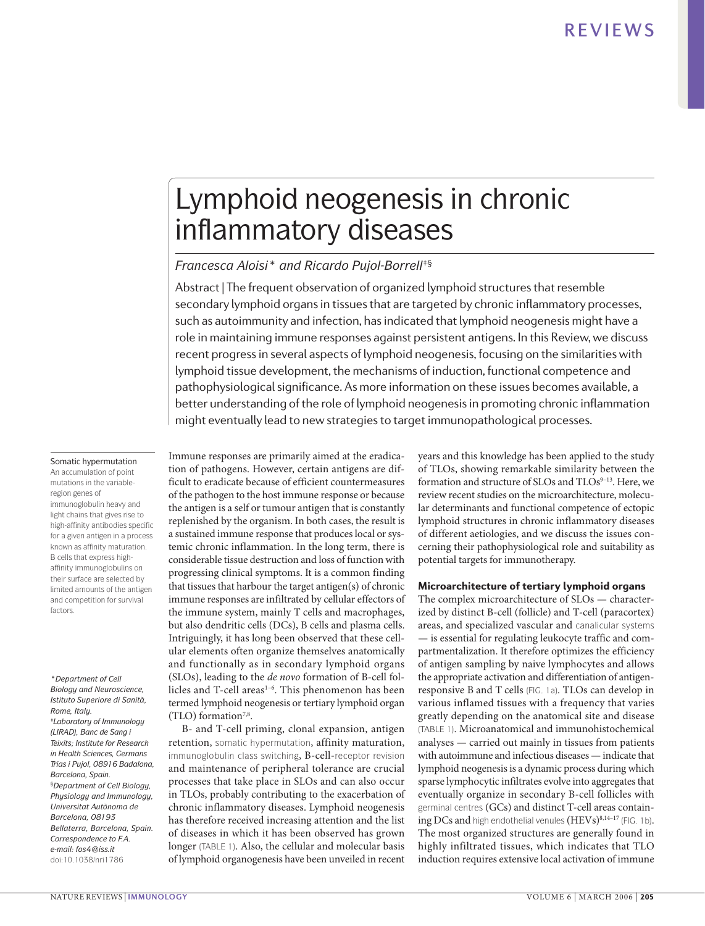# Lymphoid neogenesis in chronic inflammatory diseases

# *Francesca Aloisi\* and Ricardo Pujol-Borrell‡§*

Abstract | The frequent observation of organized lymphoid structures that resemble secondary lymphoid organs in tissues that are targeted by chronic inflammatory processes, such as autoimmunity and infection, has indicated that lymphoid neogenesis might have a role in maintaining immune responses against persistent antigens. In this Review, we discuss recent progress in several aspects of lymphoid neogenesis, focusing on the similarities with lymphoid tissue development, the mechanisms of induction, functional competence and pathophysiological significance. As more information on these issues becomes available, a better understanding of the role of lymphoid neogenesis in promoting chronic inflammation might eventually lead to new strategies to target immunopathological processes.

# Somatic hypermutation

An accumulation of point mutations in the variableregion genes of immunoglobulin heavy and light chains that gives rise to high-affinity antibodies specific for a given antigen in a process known as affinity maturation. B cells that express highaffinity immunoglobulins on their surface are selected by limited amounts of the antigen and competition for survival factors

*\*Department of Cell Biology and Neuroscience, Istituto Superiore di Sanità, Rome, Italy. ‡Laboratory of Immunology (LIRAD), Banc de Sang i Teixits; Institute for Research in Health Sciences, Germans Trias i Pujol, 08916 Badalona, Barcelona, Spain. §Department of Cell Biology, Physiology and Immunology, Universitat Autònoma de Barcelona, 08193 Bellaterra, Barcelona, Spain. Correspondence to F.A. e-mail: fos4@iss.it* doi:10.1038/nri1786

Immune responses are primarily aimed at the eradication of pathogens. However, certain antigens are difficult to eradicate because of efficient countermeasures of the pathogen to the host immune response or because the antigen is a self or tumour antigen that is constantly replenished by the organism. In both cases, the result is a sustained immune response that produces local or systemic chronic inflammation. In the long term, there is considerable tissue destruction and loss of function with progressing clinical symptoms. It is a common finding that tissues that harbour the target antigen(s) of chronic immune responses are infiltrated by cellular effectors of the immune system, mainly T cells and macrophages, but also dendritic cells (DCs), B cells and plasma cells. Intriguingly, it has long been observed that these cellular elements often organize themselves anatomically and functionally as in secondary lymphoid organs (SLOs), leading to the *de novo* formation of B-cell follicles and T-cell areas<sup>1-6</sup>. This phenomenon has been termed lymphoid neogenesis or tertiary lymphoid organ  $(TLO)$  formation<sup>7,8</sup>.

B- and T-cell priming, clonal expansion, antigen retention, somatic hypermutation, affinity maturation, immunoglobulin class switching, B-cell-receptor revision and maintenance of peripheral tolerance are crucial processes that take place in SLOs and can also occur in TLOs, probably contributing to the exacerbation of chronic inflammatory diseases. Lymphoid neogenesis has therefore received increasing attention and the list of diseases in which it has been observed has grown longer (TABLE 1). Also, the cellular and molecular basis of lymphoid organogenesis have been unveiled in recent years and this knowledge has been applied to the study of TLOs, showing remarkable similarity between the formation and structure of SLOs and TLOs<sup>9-13</sup>. Here, we review recent studies on the microarchitecture, molecular determinants and functional competence of ectopic lymphoid structures in chronic inflammatory diseases of different aetiologies, and we discuss the issues concerning their pathophysiological role and suitability as potential targets for immunotherapy.

# Microarchitecture of tertiary lymphoid organs

The complex microarchitecture of SLOs — characterized by distinct B-cell (follicle) and T-cell (paracortex) areas, and specialized vascular and canalicular systems — is essential for regulating leukocyte traffic and compartmentalization. It therefore optimizes the efficiency of antigen sampling by naive lymphocytes and allows the appropriate activation and differentiation of antigenresponsive B and T cells (FIG. 1a). TLOs can develop in various inflamed tissues with a frequency that varies greatly depending on the anatomical site and disease (TABLE 1). Microanatomical and immunohistochemical analyses — carried out mainly in tissues from patients with autoimmune and infectious diseases — indicate that lymphoid neogenesis is a dynamic process during which sparse lymphocytic infiltrates evolve into aggregates that eventually organize in secondary B-cell follicles with germinal centres (GCs) and distinct T-cell areas containing DCs and high endothelial venules (HEVs)<sup>8,14-17</sup> (FIG. 1b). The most organized structures are generally found in highly infiltrated tissues, which indicates that TLO induction requires extensive local activation of immune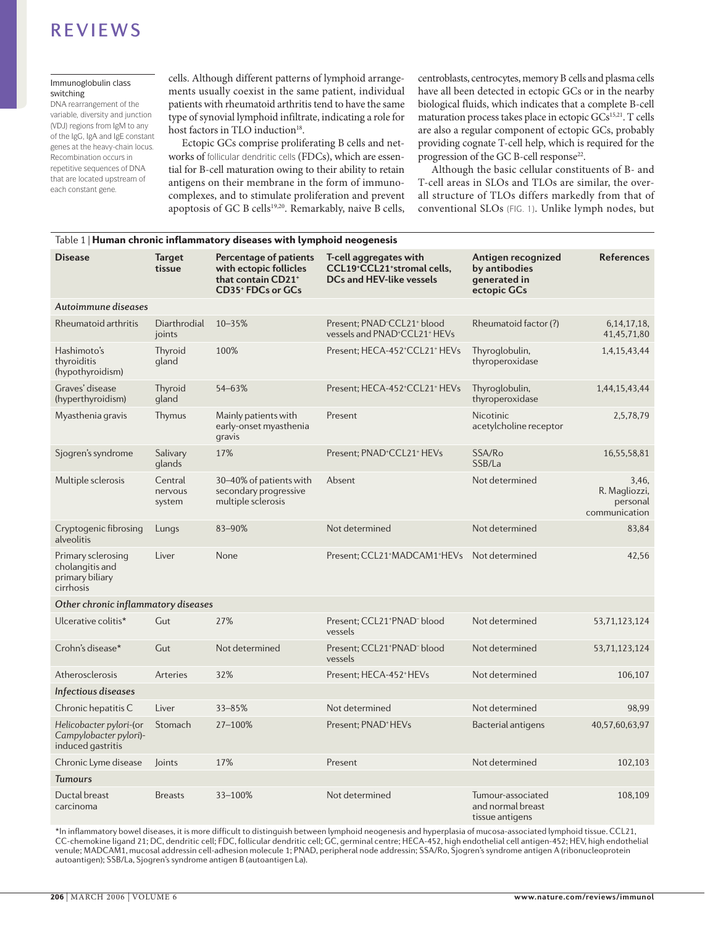# Immunoglobulin class switching

DNA rearrangement of the variable, diversity and junction (VDJ) regions from IgM to any of the IgG, IgA and IgE constant genes at the heavy-chain locus. Recombination occurs in repetitive sequences of DNA that are located upstream of each constant gene.

cells. Although different patterns of lymphoid arrangements usually coexist in the same patient, individual patients with rheumatoid arthritis tend to have the same type of synovial lymphoid infiltrate, indicating a role for host factors in TLO induction<sup>18</sup>.

Ectopic GCs comprise proliferating B cells and networks of follicular dendritic cells (FDCs), which are essential for B-cell maturation owing to their ability to retain antigens on their membrane in the form of immunocomplexes, and to stimulate proliferation and prevent apoptosis of GC B cells<sup>19,20</sup>. Remarkably, naive B cells, centroblasts, centrocytes, memory B cells and plasma cells have all been detected in ectopic GCs or in the nearby biological fluids, which indicates that a complete B-cell maturation process takes place in ectopic GCs<sup>15,21</sup>. T cells are also a regular component of ectopic GCs, probably providing cognate T-cell help, which is required for the progression of the GC B-cell response<sup>22</sup>.

Although the basic cellular constituents of B- and T-cell areas in SLOs and TLOs are similar, the overall structure of TLOs differs markedly from that of conventional SLOs (FIG. 1). Unlike lymph nodes, but

| Table 1   Human chronic inflammatory diseases with lymphoid neogenesis |                              |                                                                                                                      |                                                                                                              |                                                                    |                                                     |  |  |  |
|------------------------------------------------------------------------|------------------------------|----------------------------------------------------------------------------------------------------------------------|--------------------------------------------------------------------------------------------------------------|--------------------------------------------------------------------|-----------------------------------------------------|--|--|--|
| <b>Disease</b>                                                         | <b>Target</b><br>tissue      | <b>Percentage of patients</b><br>with ectopic follicles<br>that contain CD21+<br><b>CD35<sup>+</sup></b> FDCs or GCs | T-cell aggregates with<br>CCL19+CCL21+stromal cells,<br><b>DCs and HEV-like vessels</b>                      | Antigen recognized<br>by antibodies<br>generated in<br>ectopic GCs | <b>References</b>                                   |  |  |  |
| Autoimmune diseases                                                    |                              |                                                                                                                      |                                                                                                              |                                                                    |                                                     |  |  |  |
| Rheumatoid arthritis                                                   | Diarthrodial<br>joints       | 10-35%                                                                                                               | Present: PNAD <sup>-</sup> CCL21 <sup>+</sup> blood<br>vessels and PNAD <sup>+</sup> CCL21 <sup>+</sup> HEVs | Rheumatoid factor (?)                                              | 6, 14, 17, 18,<br>41,45,71,80                       |  |  |  |
| Hashimoto's<br>thyroiditis<br>(hypothyroidism)                         | Thyroid<br>gland             | 100%                                                                                                                 | Present: HECA-452+CCL21+ HEVs                                                                                | Thyroglobulin,<br>thyroperoxidase                                  | 1,4,15,43,44                                        |  |  |  |
| Graves' disease<br>(hyperthyroidism)                                   | Thyroid<br>gland             | 54-63%                                                                                                               | Present: HECA-452+CCL21+ HEVs                                                                                | Thyroglobulin,<br>thyroperoxidase                                  | 1,44,15,43,44                                       |  |  |  |
| Myasthenia gravis                                                      | Thymus                       | Mainly patients with<br>early-onset myasthenia<br>gravis                                                             | Present                                                                                                      | Nicotinic<br>acetylcholine receptor                                | 2,5,78,79                                           |  |  |  |
| Sjogren's syndrome                                                     | Salivary<br>glands           | 17%                                                                                                                  | Present; PNAD+CCL21+ HEVs                                                                                    | SSA/Ro<br>SSB/La                                                   | 16,55,58,81                                         |  |  |  |
| Multiple sclerosis                                                     | Central<br>nervous<br>system | 30-40% of patients with<br>secondary progressive<br>multiple sclerosis                                               | Absent                                                                                                       | Not determined                                                     | 3,46,<br>R. Magliozzi,<br>personal<br>communication |  |  |  |
| Cryptogenic fibrosing<br>alveolitis                                    | Lungs                        | 83-90%                                                                                                               | Not determined                                                                                               | Not determined                                                     | 83,84                                               |  |  |  |
| Primary sclerosing<br>cholangitis and<br>primary biliary<br>cirrhosis  | Liver                        | None                                                                                                                 | Present; CCL21+MADCAM1+HEVs                                                                                  | Not determined                                                     | 42,56                                               |  |  |  |
| Other chronic inflammatory diseases                                    |                              |                                                                                                                      |                                                                                                              |                                                                    |                                                     |  |  |  |
| Ulcerative colitis*                                                    | Gut                          | 27%                                                                                                                  | Present: CCL21+PNAD-blood<br>vessels                                                                         | Not determined                                                     | 53,71,123,124                                       |  |  |  |
| Crohn's disease*                                                       | Gut                          | Not determined                                                                                                       | Present; CCL21+PNAD-blood<br>vessels                                                                         | Not determined                                                     | 53, 71, 123, 124                                    |  |  |  |
| Atherosclerosis                                                        | Arteries                     | 32%                                                                                                                  | Present; HECA-452+HEVs                                                                                       | Not determined                                                     | 106,107                                             |  |  |  |
| Infectious diseases                                                    |                              |                                                                                                                      |                                                                                                              |                                                                    |                                                     |  |  |  |
| Chronic hepatitis C                                                    | Liver                        | 33-85%                                                                                                               | Not determined                                                                                               | Not determined                                                     | 98,99                                               |  |  |  |
| Helicobacter pylori-(or<br>Campylobacter pylori)-<br>induced gastritis | Stomach                      | 27-100%                                                                                                              | Present; PNAD <sup>+</sup> HEVs                                                                              | Bacterial antigens                                                 | 40,57,60,63,97                                      |  |  |  |
| Chronic Lyme disease                                                   | Joints                       | 17%                                                                                                                  | Present                                                                                                      | Not determined                                                     | 102,103                                             |  |  |  |
| <b>Tumours</b>                                                         |                              |                                                                                                                      |                                                                                                              |                                                                    |                                                     |  |  |  |
| Ductal breast<br>carcinoma                                             | <b>Breasts</b>               | 33-100%                                                                                                              | Not determined                                                                                               | Tumour-associated<br>and normal breast<br>tissue antigens          | 108,109                                             |  |  |  |

\*In inflammatory bowel diseases, it is more difficult to distinguish between lymphoid neogenesis and hyperplasia of mucosa-associated lymphoid tissue. CCL21, CC-chemokine ligand 21; DC, dendritic cell; FDC, follicular dendritic cell; GC, germinal centre; HECA-452, high endothelial cell antigen-452; HEV, high endothelial venule; MADCAM1, mucosal addressin cell-adhesion molecule 1; PNAD, peripheral node addressin; SSA/Ro, Sjogren's syndrome antigen A (ribonucleoprotein autoantigen); SSB/La, Sjogren's syndrome antigen B (autoantigen La).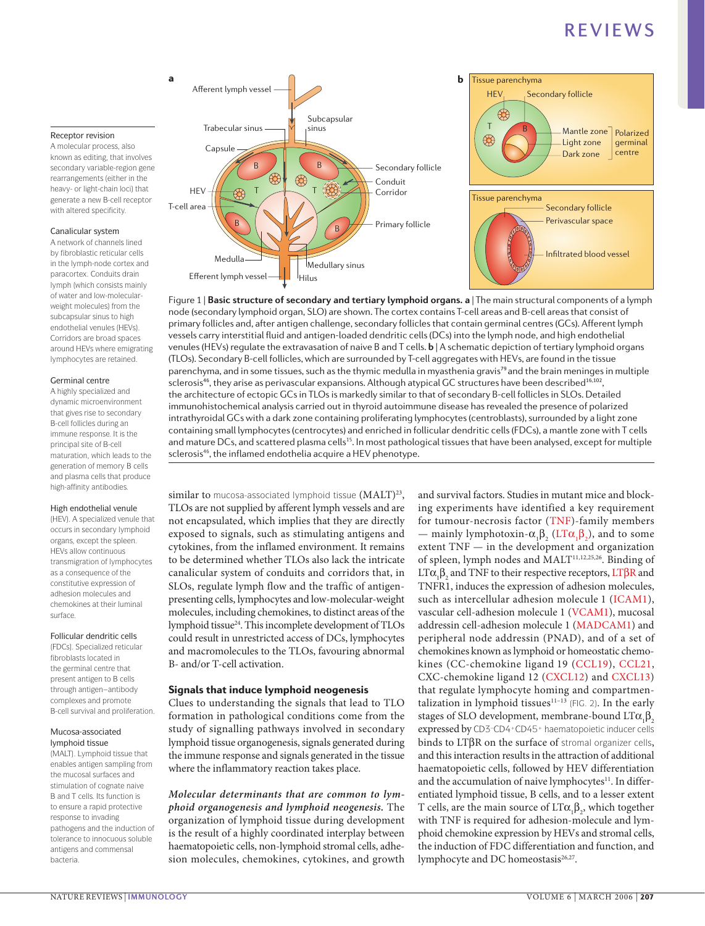### Receptor revision

A molecular process, also known as editing, that involves secondary variable-region gene rearrangements (either in the heavy- or light-chain loci) that generate a new B-cell receptor with altered specificity.

# Canalicular system

A network of channels lined by fibroblastic reticular cells in the lymph-node cortex and paracortex. Conduits drain lymph (which consists mainly of water and low-molecularweight molecules) from the subcapsular sinus to high endothelial venules (HEVs). Corridors are broad spaces around HEVs where emigrating lymphocytes are retained.

## Germinal centre

A highly specialized and dynamic microenvironment that gives rise to secondary B-cell follicles during an immune response. It is the principal site of B-cell maturation, which leads to the generation of memory B cells and plasma cells that produce high-affinity antibodies.

#### High endothelial venule

(HEV). A specialized venule that occurs in secondary lymphoid organs, except the spleen. HEVs allow continuous transmigration of lymphocytes as a consequence of the constitutive expression of adhesion molecules and chemokines at their luminal surface.

### Follicular dendritic cells

(FDCs). Specialized reticular fibroblasts located in the germinal centre that present antigen to B cells through antigen–antibody complexes and promote B-cell survival and proliferation.

#### Mucosa-associated lymphoid tissue

(MALT). Lymphoid tissue that enables antigen sampling from the mucosal surfaces and stimulation of cognate naive B and T cells. Its function is to ensure a rapid protective response to invading pathogens and the induction of tolerance to innocuous soluble antigens and commensal bacteria.



Figure 1 | **Basic structure of secondary and tertiary lymphoid organs. a** | The main structural components of a lymph node (secondary lymphoid organ, SLO) are shown. The cortex contains T-cell areas and B-cell areas that consist of primary follicles and, after antigen challenge, secondary follicles that contain germinal centres (GCs). Afferent lymph vessels carry interstitial fluid and antigen-loaded dendritic cells (DCs) into the lymph node, and high endothelial venules (HEVs) regulate the extravasation of naive B and T cells. **b** | A schematic depiction of tertiary lymphoid organs (TLOs). Secondary B-cell follicles, which are surrounded by T-cell aggregates with HEVs, are found in the tissue parenchyma, and in some tissues, such as the thymic medulla in myasthenia gravis<sup>79</sup> and the brain meninges in multiple sclerosis<sup>46</sup>, they arise as perivascular expansions. Although atypical GC structures have been described<sup>16,102</sup>, the architecture of ectopic GCs in TLOs is markedly similar to that of secondary B-cell follicles in SLOs. Detailed immunohistochemical analysis carried out in thyroid autoimmune disease has revealed the presence of polarized intrathyroidal GCs with a dark zone containing proliferating lymphocytes (centroblasts), surrounded by a light zone containing small lymphocytes (centrocytes) and enriched in follicular dendritic cells (FDCs), a mantle zone with T cells and mature DCs, and scattered plasma cells<sup>15</sup>. In most pathological tissues that have been analysed, except for multiple sclerosis<sup>46</sup>, the inflamed endothelia acquire a HEV phenotype.

similar to mucosa-associated lymphoid tissue  $(MALT)^{23}$ , TLOs are not supplied by afferent lymph vessels and are not encapsulated, which implies that they are directly exposed to signals, such as stimulating antigens and cytokines, from the inflamed environment. It remains to be determined whether TLOs also lack the intricate canalicular system of conduits and corridors that, in SLOs, regulate lymph flow and the traffic of antigenpresenting cells, lymphocytes and low-molecular-weight molecules, including chemokines, to distinct areas of the lymphoid tissue24. This incomplete development of TLOs could result in unrestricted access of DCs, lymphocytes and macromolecules to the TLOs, favouring abnormal B- and/or T-cell activation.

### Signals that induce lymphoid neogenesis

Clues to understanding the signals that lead to TLO formation in pathological conditions come from the study of signalling pathways involved in secondary lymphoid tissue organogenesis, signals generated during the immune response and signals generated in the tissue where the inflammatory reaction takes place.

*Molecular determinants that are common to lymphoid organogenesis and lymphoid neogenesis.* The organization of lymphoid tissue during development is the result of a highly coordinated interplay between haematopoietic cells, non-lymphoid stromal cells, adhesion molecules, chemokines, cytokines, and growth

and survival factors. Studies in mutant mice and blocking experiments have identified a key requirement for tumour-necrosis factor (TNF)-family members — mainly lymphotoxin- $\alpha_1\beta_2$  (LTα<sub>1</sub> $\beta_2$ ), and to some extent TNF — in the development and organization of spleen, lymph nodes and MALT<sup>11,12,25,26</sup>. Binding of LTα<sub>1</sub> $β_2$  and TNF to their respective receptors, LT $βR$  and TNFR1, induces the expression of adhesion molecules, such as intercellular adhesion molecule 1 (ICAM1), vascular cell-adhesion molecule 1 (VCAM1), mucosal addressin cell-adhesion molecule 1 (MADCAM1) and peripheral node addressin (PNAD), and of a set of chemokines known as lymphoid or homeostatic chemokines (CC-chemokine ligand 19 (CCL19), CCL21, CXC-chemokine ligand 12 (CXCL12) and CXCL13) that regulate lymphocyte homing and compartmentalization in lymphoid tissues $11-13$  (FIG. 2). In the early stages of SLO development, membrane-bound  $\mathrm{LT}\alpha_{\mathrm{i}}\beta_{\mathrm{2}}$ expressed by CD3–CD4+CD45+ haematopoietic inducer cells binds to LTβR on the surface of stromal organizer cells, and this interaction results in the attraction of additional haematopoietic cells, followed by HEV differentiation and the accumulation of naive lymphocytes<sup>11</sup>. In differentiated lymphoid tissue, B cells, and to a lesser extent T cells, are the main source of  $LT\alpha_{\text{1}}\beta_{\text{2}}$  which together with TNF is required for adhesion-molecule and lymphoid chemokine expression by HEVs and stromal cells, the induction of FDC differentiation and function, and lymphocyte and DC homeostasis<sup>26,27</sup>.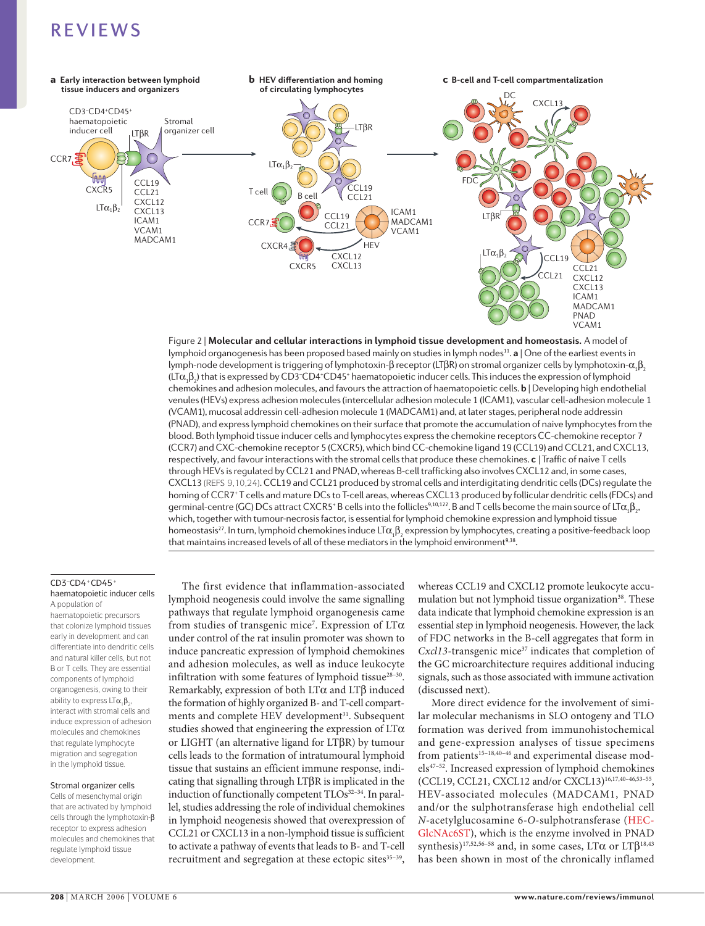

Figure 2 | **Molecular and cellular interactions in lymphoid tissue development and homeostasis.** A model of lymphoid organogenesis has been proposed based mainly on studies in lymph nodes11. **a** | One of the earliest events in lymph-node development is triggering of lymphotoxin-β receptor (LTβR) on stromal organizer cells by lymphotoxin- $\alpha_{\rm i}$ β $_{\rm j}$ (LTα<sub>,</sub>β<sub>,</sub>) that is expressed by CD3<sup>-</sup>CD4+CD45+ haematopoietic inducer cells. This induces the expression of lymphoid chemokines and adhesion molecules, and favours the attraction of haematopoietic cells. **b** | Developing high endothelial venules (HEVs) express adhesion molecules (intercellular adhesion molecule 1 (ICAM1), vascular cell-adhesion molecule 1 (VCAM1), mucosal addressin cell-adhesion molecule 1 (MADCAM1) and, at later stages, peripheral node addressin (PNAD), and express lymphoid chemokines on their surface that promote the accumulation of naive lymphocytes from the blood. Both lymphoid tissue inducer cells and lymphocytes express the chemokine receptors CC-chemokine receptor 7 (CCR7) and CXC-chemokine receptor 5 (CXCR5), which bind CC-chemokine ligand 19 (CCL19) and CCL21, and CXCL13, respectively, and favour interactions with the stromal cells that produce these chemokines. **c** | Traffic of naive T cells through HEVs is regulated by CCL21 and PNAD, whereas B-cell trafficking also involves CXCL12 and, in some cases, CXCL13 (REFS 9,10,24). CCL19 and CCL21 produced by stromal cells and interdigitating dendritic cells (DCs) regulate the homing of CCR7+ T cells and mature DCs to T-cell areas, whereas CXCL13 produced by follicular dendritic cells (FDCs) and germinal-centre (GC) DCs attract CXCR5\* B cells into the follicles $^{9,10,122}$ . B and T cells become the main source of LT $\alpha^{}_1\beta^{}_2$ , which, together with tumour-necrosis factor, is essential for lymphoid chemokine expression and lymphoid tissue homeostasis<sup>27</sup>. In turn, lymphoid chemokines induce LT $\alpha_{i} \beta_{2}$  expression by lymphocytes, creating a positive-feedback loop that maintains increased levels of all of these mediators in the lymphoid environment<sup>9,38</sup>.

#### CD3–CD4+CD45+ haematopoietic inducer cells A population of

haematopoietic precursors that colonize lymphoid tissues early in development and can differentiate into dendritic cells and natural killer cells, but not B or T cells. They are essential components of lymphoid organogenesis, owing to their ability to express  $LT\alpha_1\beta_2$ , interact with stromal cells and induce expression of adhesion molecules and chemokines that regulate lymphocyte migration and segregation in the lymphoid tissue.

### Stromal organizer cells

Cells of mesenchymal origin that are activated by lymphoid cells through the lymphotoxin-β receptor to express adhesion molecules and chemokines that regulate lymphoid tissue development.

The first evidence that inflammation-associated lymphoid neogenesis could involve the same signalling pathways that regulate lymphoid organogenesis came from studies of transgenic mice7 . Expression of LTα under control of the rat insulin promoter was shown to induce pancreatic expression of lymphoid chemokines and adhesion molecules, as well as induce leukocyte infiltration with some features of lymphoid tissue<sup>28-30</sup>. Remarkably, expression of both LTα and LTβ induced the formation of highly organized B- and T-cell compartments and complete HEV development<sup>31</sup>. Subsequent studies showed that engineering the expression of LTα or LIGHT (an alternative ligand for LTβR) by tumour cells leads to the formation of intratumoural lymphoid tissue that sustains an efficient immune response, indicating that signalling through LTβR is implicated in the induction of functionally competent TLOs<sup>32-34</sup>. In parallel, studies addressing the role of individual chemokines in lymphoid neogenesis showed that overexpression of CCL21 or CXCL13 in a non-lymphoid tissue is sufficient to activate a pathway of events that leads to B- and T-cell recruitment and segregation at these ectopic sites<sup>35-39</sup>,

whereas CCL19 and CXCL12 promote leukocyte accumulation but not lymphoid tissue organization<sup>38</sup>. These data indicate that lymphoid chemokine expression is an essential step in lymphoid neogenesis. However, the lack of FDC networks in the B-cell aggregates that form in *Cxcl13*-transgenic mice<sup>37</sup> indicates that completion of the GC microarchitecture requires additional inducing signals, such as those associated with immune activation (discussed next).

More direct evidence for the involvement of similar molecular mechanisms in SLO ontogeny and TLO formation was derived from immunohistochemical and gene-expression analyses of tissue specimens from patients<sup>15-18,40-46</sup> and experimental disease models47–52. Increased expression of lymphoid chemokines (CCL19, CCL21, CXCL12 and/or CXCL13)16,17,40–46,53–55, HEV-associated molecules (MADCAM1, PNAD and/or the sulphotransferase high endothelial cell *N*-acetylglucosamine 6-*O*-sulphotransferase (HEC-GlcNAc6ST), which is the enzyme involved in PNAD synthesis)<sup>17,52,56–58</sup> and, in some cases, LT $\alpha$  or LT $\beta$ <sup>18,43</sup> has been shown in most of the chronically inflamed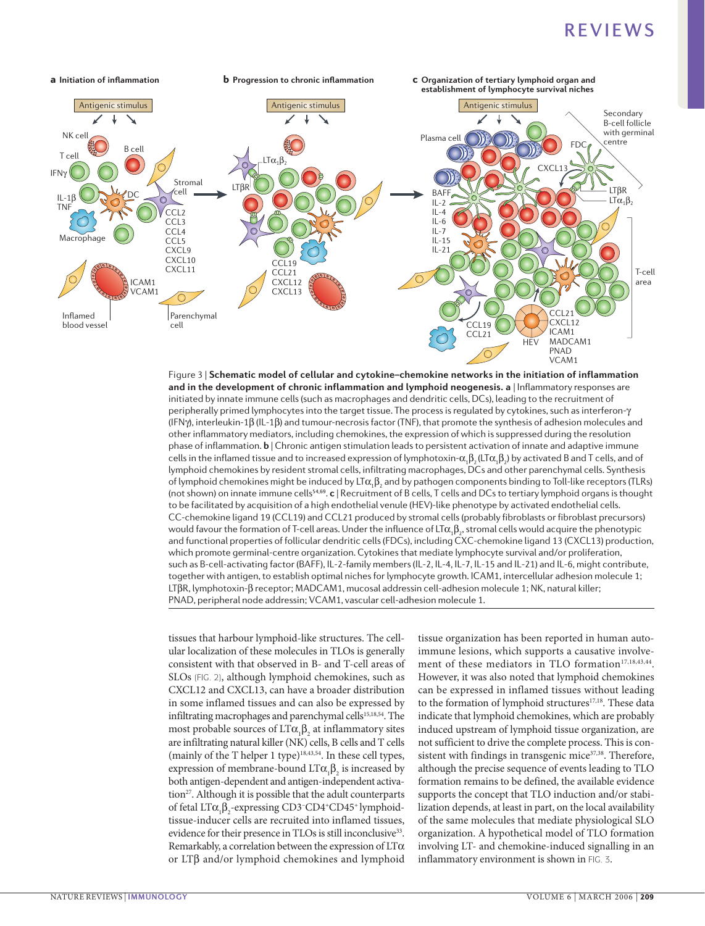

Figure 3 | **Schematic model of cellular and cytokine–chemokine networks in the initiation of inflammation and in the development of chronic inflammation and lymphoid neogenesis. a** | Inflammatory responses are initiated by innate immune cells (such as macrophages and dendritic cells, DCs), leading to the recruitment of peripherally primed lymphocytes into the target tissue. The process is regulated by cytokines, such as interferon-γ (IFNγ), interleukin-1β (IL-1β) and tumour-necrosis factor (TNF), that promote the synthesis of adhesion molecules and other inflammatory mediators, including chemokines, the expression of which is suppressed during the resolution phase of inflammation. **b** | Chronic antigen stimulation leads to persistent activation of innate and adaptive immune cells in the inflamed tissue and to increased expression of lymphotoxin- $\alpha_{\rm i}\beta_2$  (LT $\alpha_{\rm i}\beta_2$ ) by activated B and T cells, and of lymphoid chemokines by resident stromal cells, infiltrating macrophages, DCs and other parenchymal cells. Synthesis of lymphoid chemokines might be induced by LT $\alpha_{\rm i}\beta_{\rm 2}$  and by pathogen components binding to Toll-like receptors (TLRs) (not shown) on innate immune cells54,69. **c** | Recruitment of B cells, T cells and DCs to tertiary lymphoid organs is thought to be facilitated by acquisition of a high endothelial venule (HEV)-like phenotype by activated endothelial cells. CC-chemokine ligand 19 (CCL19) and CCL21 produced by stromal cells (probably fibroblasts or fibroblast precursors) would favour the formation of T-cell areas. Under the influence of LT $\alpha_{_1}\beta_{_2}$ , stromal cells would acquire the phenotypic and functional properties of follicular dendritic cells (FDCs), including CXC-chemokine ligand 13 (CXCL13) production, which promote germinal-centre organization. Cytokines that mediate lymphocyte survival and/or proliferation, such as B-cell-activating factor (BAFF), IL-2-family members (IL-2, IL-4, IL-7, IL-15 and IL-21) and IL-6, might contribute, together with antigen, to establish optimal niches for lymphocyte growth. ICAM1, intercellular adhesion molecule 1; LTβR, lymphotoxin-β receptor; MADCAM1, mucosal addressin cell-adhesion molecule 1; NK, natural killer; PNAD, peripheral node addressin; VCAM1, vascular cell-adhesion molecule 1.

tissues that harbour lymphoid-like structures. The cellular localization of these molecules in TLOs is generally consistent with that observed in B- and T-cell areas of SLOs (FIG. 2), although lymphoid chemokines, such as CXCL12 and CXCL13, can have a broader distribution in some inflamed tissues and can also be expressed by infiltrating macrophages and parenchymal cells<sup>15,18,54</sup>. The most probable sources of  $\mathrm{LT}\alpha_{\scriptscriptstyle{1}}\beta_{\scriptscriptstyle{2}}$  at inflammatory sites are infiltrating natural killer (NK) cells, B cells and T cells (mainly of the T helper 1 type) $18,43,54$ . In these cell types, expression of membrane-bound  $LT\alpha_{\scriptscriptstyle 1} \beta_{\scriptscriptstyle 2}$  is increased by both antigen-dependent and antigen-independent activation<sup>27</sup>. Although it is possible that the adult counterparts of fetal  $LT\alpha_1\beta_2$ -expressing CD3<sup>-</sup>CD4<sup>+</sup>CD45<sup>+</sup> lymphoidtissue-inducer cells are recruited into inflamed tissues, evidence for their presence in TLOs is still inconclusive<sup>33</sup>. Remarkably, a correlation between the expression of LTα or LTβ and/or lymphoid chemokines and lymphoid

tissue organization has been reported in human autoimmune lesions, which supports a causative involvement of these mediators in TLO formation<sup>17,18,43,44</sup>. However, it was also noted that lymphoid chemokines can be expressed in inflamed tissues without leading to the formation of lymphoid structures<sup>17,18</sup>. These data indicate that lymphoid chemokines, which are probably induced upstream of lymphoid tissue organization, are not sufficient to drive the complete process. This is consistent with findings in transgenic mice<sup>37,38</sup>. Therefore, although the precise sequence of events leading to TLO formation remains to be defined, the available evidence supports the concept that TLO induction and/or stabilization depends, at least in part, on the local availability of the same molecules that mediate physiological SLO organization. A hypothetical model of TLO formation involving LT- and chemokine-induced signalling in an inflammatory environment is shown in FIG. 3.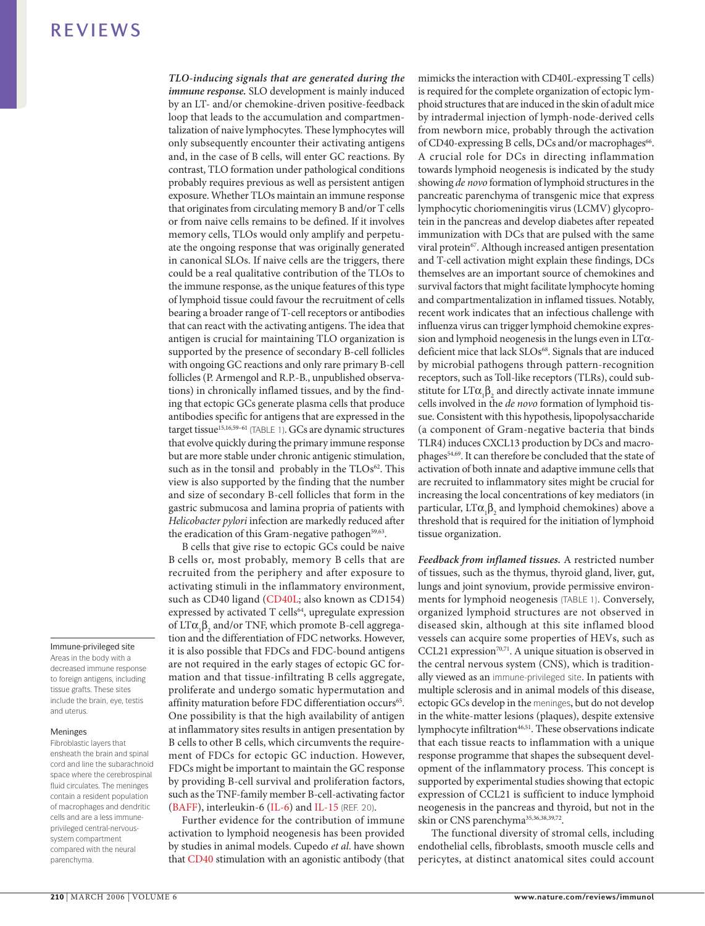## Immune-privileged site

Areas in the body with a decreased immune response to foreign antigens, including tissue grafts. These sites include the brain, eye, testis and uterus.

#### Meninges

Fibroblastic layers that ensheath the brain and spinal cord and line the subarachnoid space where the cerebrospinal fluid circulates. The meninges contain a resident population of macrophages and dendritic cells and are a less immuneprivileged central-nervoussystem compartment compared with the neural parenchyma.

*TLO-inducing signals that are generated during the immune response.* SLO development is mainly induced by an LT- and/or chemokine-driven positive-feedback loop that leads to the accumulation and compartmentalization of naive lymphocytes. These lymphocytes will only subsequently encounter their activating antigens and, in the case of B cells, will enter GC reactions. By contrast, TLO formation under pathological conditions probably requires previous as well as persistent antigen exposure. Whether TLOs maintain an immune response that originates from circulating memory B and/or T cells or from naive cells remains to be defined. If it involves memory cells, TLOs would only amplify and perpetuate the ongoing response that was originally generated in canonical SLOs. If naive cells are the triggers, there could be a real qualitative contribution of the TLOs to the immune response, as the unique features of this type of lymphoid tissue could favour the recruitment of cells bearing a broader range of T-cell receptors or antibodies that can react with the activating antigens. The idea that antigen is crucial for maintaining TLO organization is supported by the presence of secondary B-cell follicles with ongoing GC reactions and only rare primary B-cell follicles (P. Armengol and R.P.-B., unpublished observations) in chronically inflamed tissues, and by the finding that ectopic GCs generate plasma cells that produce antibodies specific for antigens that are expressed in the target tissue<sup>15,16,59-61</sup> (TABLE 1). GCs are dynamic structures that evolve quickly during the primary immune response but are more stable under chronic antigenic stimulation, such as in the tonsil and probably in the TLOs<sup>62</sup>. This view is also supported by the finding that the number and size of secondary B-cell follicles that form in the gastric submucosa and lamina propria of patients with *Helicobacter pylori* infection are markedly reduced after the eradication of this Gram-negative pathogen<sup>59,63</sup>.

B cells that give rise to ectopic GCs could be naive B cells or, most probably, memory B cells that are recruited from the periphery and after exposure to activating stimuli in the inflammatory environment, such as CD40 ligand (CD40L; also known as CD154) expressed by activated T cells<sup>64</sup>, upregulate expression of  $LT\alpha_1\beta_2$  and/or TNF, which promote B-cell aggregation and the differentiation of FDC networks. However, it is also possible that FDCs and FDC-bound antigens are not required in the early stages of ectopic GC formation and that tissue-infiltrating B cells aggregate, proliferate and undergo somatic hypermutation and affinity maturation before FDC differentiation occurs<sup>65</sup>. One possibility is that the high availability of antigen at inflammatory sites results in antigen presentation by B cells to other B cells, which circumvents the requirement of FDCs for ectopic GC induction. However, FDCs might be important to maintain the GC response by providing B-cell survival and proliferation factors, such as the TNF-family member B-cell-activating factor (BAFF), interleukin-6 (IL-6) and IL-15 (REF. 20).

Further evidence for the contribution of immune activation to lymphoid neogenesis has been provided by studies in animal models. Cupedo *et al*. have shown that CD40 stimulation with an agonistic antibody (that mimicks the interaction with CD40L-expressing T cells) is required for the complete organization of ectopic lymphoid structures that are induced in the skin of adult mice by intradermal injection of lymph-node-derived cells from newborn mice, probably through the activation of CD40-expressing B cells, DCs and/or macrophages<sup>66</sup>. A crucial role for DCs in directing inflammation towards lymphoid neogenesis is indicated by the study showing *de novo* formation of lymphoid structures in the pancreatic parenchyma of transgenic mice that express lymphocytic choriomeningitis virus (LCMV) glycoprotein in the pancreas and develop diabetes after repeated immunization with DCs that are pulsed with the same viral protein<sup>67</sup>. Although increased antigen presentation and T-cell activation might explain these findings, DCs themselves are an important source of chemokines and survival factors that might facilitate lymphocyte homing and compartmentalization in inflamed tissues. Notably, recent work indicates that an infectious challenge with influenza virus can trigger lymphoid chemokine expression and lymphoid neogenesis in the lungs even in  $LT\alpha$ deficient mice that lack SLOs<sup>68</sup>. Signals that are induced by microbial pathogens through pattern-recognition receptors, such as Toll-like receptors (TLRs), could substitute for  $LT\alpha_1\beta_2$  and directly activate innate immune cells involved in the *de novo* formation of lymphoid tissue. Consistent with this hypothesis, lipopolysaccharide (a component of Gram-negative bacteria that binds TLR4) induces CXCL13 production by DCs and macrophages54,69. It can therefore be concluded that the state of activation of both innate and adaptive immune cells that are recruited to inflammatory sites might be crucial for increasing the local concentrations of key mediators (in particular,  $LT\alpha_1\beta_2$  and lymphoid chemokines) above a threshold that is required for the initiation of lymphoid tissue organization.

*Feedback from inflamed tissues.* A restricted number of tissues, such as the thymus, thyroid gland, liver, gut, lungs and joint synovium, provide permissive environments for lymphoid neogenesis (TABLE 1). Conversely, organized lymphoid structures are not observed in diseased skin, although at this site inflamed blood vessels can acquire some properties of HEVs, such as CCL21 expression<sup>70,71</sup>. A unique situation is observed in the central nervous system (CNS), which is traditionally viewed as an immune-privileged site. In patients with multiple sclerosis and in animal models of this disease, ectopic GCs develop in the meninges, but do not develop in the white-matter lesions (plaques), despite extensive lymphocyte infiltration<sup>46,51</sup>. These observations indicate that each tissue reacts to inflammation with a unique response programme that shapes the subsequent development of the inflammatory process. This concept is supported by experimental studies showing that ectopic expression of CCL21 is sufficient to induce lymphoid neogenesis in the pancreas and thyroid, but not in the skin or CNS parenchyma<sup>35,36,38,39,72</sup>.

The functional diversity of stromal cells, including endothelial cells, fibroblasts, smooth muscle cells and pericytes, at distinct anatomical sites could account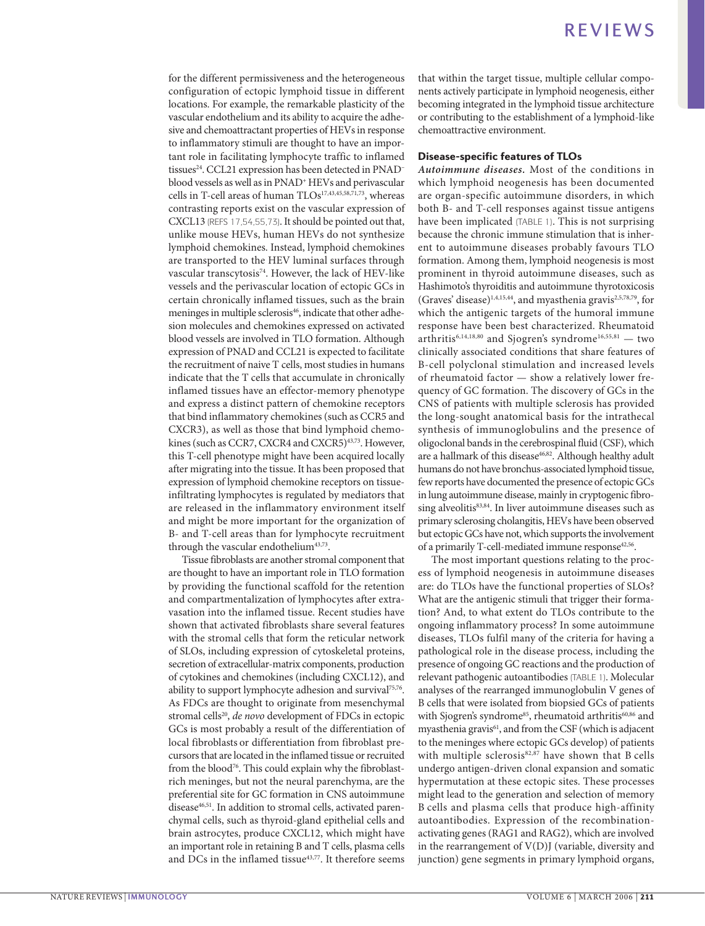for the different permissiveness and the heterogeneous configuration of ectopic lymphoid tissue in different locations. For example, the remarkable plasticity of the vascular endothelium and its ability to acquire the adhesive and chemoattractant properties of HEVs in response to inflammatory stimuli are thought to have an important role in facilitating lymphocyte traffic to inflamed tissues<sup>24</sup>. CCL21 expression has been detected in PNAD<sup>-</sup> blood vessels as well as in PNAD+ HEVs and perivascular cells in T-cell areas of human TLOs<sup>17,43,45,58,71,73</sup>, whereas contrasting reports exist on the vascular expression of CXCL13 (REFS 17,54,55,73). It should be pointed out that, unlike mouse HEVs, human HEVs do not synthesize lymphoid chemokines. Instead, lymphoid chemokines are transported to the HEV luminal surfaces through vascular transcytosis<sup>74</sup>. However, the lack of HEV-like vessels and the perivascular location of ectopic GCs in certain chronically inflamed tissues, such as the brain meninges in multiple sclerosis<sup>46</sup>, indicate that other adhesion molecules and chemokines expressed on activated blood vessels are involved in TLO formation. Although expression of PNAD and CCL21 is expected to facilitate the recruitment of naive T cells, most studies in humans indicate that the T cells that accumulate in chronically inflamed tissues have an effector-memory phenotype and express a distinct pattern of chemokine receptors that bind inflammatory chemokines (such as CCR5 and CXCR3), as well as those that bind lymphoid chemokines (such as CCR7, CXCR4 and CXCR5)<sup>43,73</sup>. However, this T-cell phenotype might have been acquired locally after migrating into the tissue. It has been proposed that expression of lymphoid chemokine receptors on tissueinfiltrating lymphocytes is regulated by mediators that are released in the inflammatory environment itself and might be more important for the organization of B- and T-cell areas than for lymphocyte recruitment through the vascular endothelium<sup>43,73</sup>.

Tissue fibroblasts are another stromal component that are thought to have an important role in TLO formation by providing the functional scaffold for the retention and compartmentalization of lymphocytes after extravasation into the inflamed tissue. Recent studies have shown that activated fibroblasts share several features with the stromal cells that form the reticular network of SLOs, including expression of cytoskeletal proteins, secretion of extracellular-matrix components, production of cytokines and chemokines (including CXCL12), and ability to support lymphocyte adhesion and survival<sup>75,76</sup>. As FDCs are thought to originate from mesenchymal stromal cells<sup>20</sup>, *de novo* development of FDCs in ectopic GCs is most probably a result of the differentiation of local fibroblasts or differentiation from fibroblast precursors that are located in the inflamed tissue or recruited from the blood<sup>76</sup>. This could explain why the fibroblastrich meninges, but not the neural parenchyma, are the preferential site for GC formation in CNS autoimmune disease<sup>46,51</sup>. In addition to stromal cells, activated parenchymal cells, such as thyroid-gland epithelial cells and brain astrocytes, produce CXCL12, which might have an important role in retaining B and T cells, plasma cells and DCs in the inflamed tissue<sup>43,77</sup>. It therefore seems that within the target tissue, multiple cellular components actively participate in lymphoid neogenesis, either becoming integrated in the lymphoid tissue architecture or contributing to the establishment of a lymphoid-like chemoattractive environment.

# Disease-specific features of TLOs

*Autoimmune diseases.* Most of the conditions in which lymphoid neogenesis has been documented are organ-specific autoimmune disorders, in which both B- and T-cell responses against tissue antigens have been implicated (TABLE 1). This is not surprising because the chronic immune stimulation that is inherent to autoimmune diseases probably favours TLO formation. Among them, lymphoid neogenesis is most prominent in thyroid autoimmune diseases, such as Hashimoto's thyroiditis and autoimmune thyrotoxicosis (Graves' disease)<sup>1,4,15,44</sup>, and myasthenia gravis<sup>2,5,78,79</sup>, for which the antigenic targets of the humoral immune response have been best characterized. Rheumatoid arthritis<sup>6,14,18,80</sup> and Sjogren's syndrome<sup>16,55,81</sup> - two clinically associated conditions that share features of B-cell polyclonal stimulation and increased levels of rheumatoid factor — show a relatively lower frequency of GC formation. The discovery of GCs in the CNS of patients with multiple sclerosis has provided the long-sought anatomical basis for the intrathecal synthesis of immunoglobulins and the presence of oligo clonal bands in the cerebrospinal fluid (CSF), which are a hallmark of this disease<sup>46,82</sup>. Although healthy adult humans do not have bronchus-associated lymphoid tissue, few reports have documented the presence of ectopic GCs in lung autoimmune disease, mainly in cryptogenic fibrosing alveolitis<sup>83,84</sup>. In liver autoimmune diseases such as primary sclerosing cholangitis, HEVs have been observed but ectopic GCs have not, which supports the involvement of a primarily T-cell-mediated immune response<sup>42,56</sup>.

The most important questions relating to the process of lymphoid neogenesis in autoimmune diseases are: do TLOs have the functional properties of SLOs? What are the antigenic stimuli that trigger their formation? And, to what extent do TLOs contribute to the ongoing inflammatory process? In some autoimmune diseases, TLOs fulfil many of the criteria for having a pathological role in the disease process, including the presence of ongoing GC reactions and the production of relevant pathogenic autoantibodies (TABLE 1). Molecular analyses of the rearranged immunoglobulin V genes of B cells that were isolated from biopsied GCs of patients with Sjogren's syndrome<sup>85</sup>, rheumatoid arthritis<sup>60,86</sup> and myasthenia gravis<sup>61</sup>, and from the CSF (which is adjacent to the meninges where ectopic GCs develop) of patients with multiple sclerosis<sup>82,87</sup> have shown that B cells undergo antigen-driven clonal expansion and somatic hypermutation at these ectopic sites. These processes might lead to the generation and selection of memory B cells and plasma cells that produce high-affinity autoantibodies. Expression of the recombinationactivating genes (RAG1 and RAG2), which are involved in the rearrangement of V(D)J (variable, diversity and junction) gene segments in primary lymphoid organs,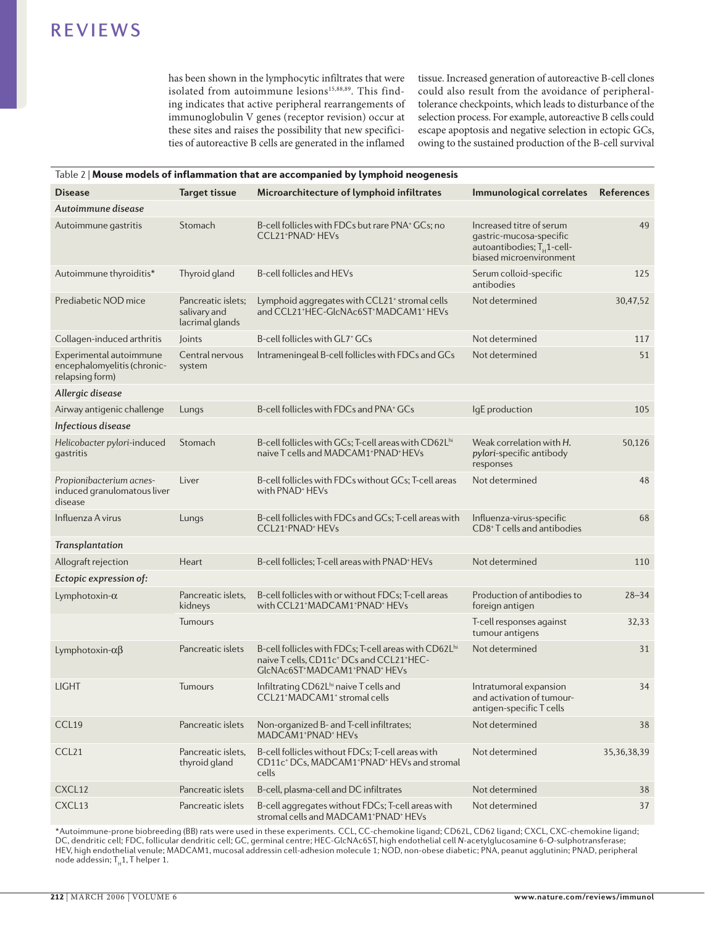has been shown in the lymphocytic infiltrates that were isolated from autoimmune lesions<sup>15,88,89</sup>. This finding indicates that active peripheral rearrangements of immunoglobulin V genes (receptor revision) occur at these sites and raises the possibility that new specificities of autoreactive B cells are generated in the inflamed tissue. Increased generation of autoreactive B-cell clones could also result from the avoidance of peripheraltolerance checkpoints, which leads to disturbance of the selection process. For example, autoreactive B cells could escape apoptosis and negative selection in ectopic GCs, owing to the sustained production of the B-cell survival

| lavie z   mouse mouels or initialmiation that are accompanied by tymphold neogenesis |                                                       |                                                                                                                                                                                                  |                                                                                                                 |                   |  |  |  |  |
|--------------------------------------------------------------------------------------|-------------------------------------------------------|--------------------------------------------------------------------------------------------------------------------------------------------------------------------------------------------------|-----------------------------------------------------------------------------------------------------------------|-------------------|--|--|--|--|
| <b>Disease</b>                                                                       | <b>Target tissue</b>                                  | Microarchitecture of lymphoid infiltrates                                                                                                                                                        | Immunological correlates                                                                                        | <b>References</b> |  |  |  |  |
| Autoimmune disease                                                                   |                                                       |                                                                                                                                                                                                  |                                                                                                                 |                   |  |  |  |  |
| Autoimmune gastritis                                                                 | Stomach                                               | B-cell follicles with FDCs but rare PNA <sup>+</sup> GCs; no<br>CCL21 <sup>+</sup> PNAD <sup>+</sup> HEVs                                                                                        | Increased titre of serum<br>gastric-mucosa-specific<br>autoantibodies; $T_H$ 1-cell-<br>biased microenvironment | 49                |  |  |  |  |
| Autoimmune thyroiditis*                                                              | Thyroid gland                                         | B-cell follicles and HEVs                                                                                                                                                                        | Serum colloid-specific<br>antibodies                                                                            | 125               |  |  |  |  |
| Prediabetic NOD mice                                                                 | Pancreatic islets;<br>salivary and<br>lacrimal glands | Lymphoid aggregates with CCL21 <sup>+</sup> stromal cells<br>and CCL21+HEC-GlcNAc6ST+MADCAM1+HEVs                                                                                                | Not determined                                                                                                  | 30,47,52          |  |  |  |  |
| Collagen-induced arthritis                                                           | Joints                                                | B-cell follicles with GL7+ GCs                                                                                                                                                                   | Not determined                                                                                                  | 117               |  |  |  |  |
| Experimental autoimmune<br>encephalomyelitis (chronic-<br>relapsing form)            | Central nervous<br>system                             | Intrameningeal B-cell follicles with FDCs and GCs                                                                                                                                                | Not determined                                                                                                  | 51                |  |  |  |  |
| Allergic disease                                                                     |                                                       |                                                                                                                                                                                                  |                                                                                                                 |                   |  |  |  |  |
| Airway antigenic challenge                                                           | Lungs                                                 | B-cell follicles with FDCs and PNA <sup>+</sup> GCs                                                                                                                                              | IqE production                                                                                                  | 105               |  |  |  |  |
| Infectious disease                                                                   |                                                       |                                                                                                                                                                                                  |                                                                                                                 |                   |  |  |  |  |
| Helicobacter pylori-induced<br>gastritis                                             | Stomach                                               | B-cell follicles with GCs; T-cell areas with CD62Lhi<br>naive T cells and MADCAM1+PNAD+HEVs                                                                                                      | Weak correlation with H.<br>pylori-specific antibody<br>responses                                               | 50.126            |  |  |  |  |
| Propionibacterium acnes-<br>induced granulomatous liver<br>disease                   | Liver                                                 | B-cell follicles with FDCs without GCs; T-cell areas<br>with PNAD <sup>+</sup> HEVs                                                                                                              | Not determined                                                                                                  | 48                |  |  |  |  |
| Influenza A virus                                                                    | Lungs                                                 | B-cell follicles with FDCs and GCs; T-cell areas with<br>CCL21 <sup>+</sup> PNAD <sup>+</sup> HEVs                                                                                               | Influenza-virus-specific<br>CD8+T cells and antibodies                                                          | 68                |  |  |  |  |
| Transplantation                                                                      |                                                       |                                                                                                                                                                                                  |                                                                                                                 |                   |  |  |  |  |
| Allograft rejection                                                                  | Heart                                                 | B-cell follicles; T-cell areas with PNAD+HEVs                                                                                                                                                    | Not determined                                                                                                  | 110               |  |  |  |  |
| Ectopic expression of:                                                               |                                                       |                                                                                                                                                                                                  |                                                                                                                 |                   |  |  |  |  |
| Lymphotoxin- $\alpha$                                                                | Pancreatic islets,<br>kidneys                         | B-cell follicles with or without FDCs; T-cell areas<br>with CCL21+MADCAM1+PNAD+ HEVs                                                                                                             | Production of antibodies to<br>foreign antigen                                                                  | $28 - 34$         |  |  |  |  |
|                                                                                      | <b>Tumours</b>                                        |                                                                                                                                                                                                  | T-cell responses against<br>tumour antigens                                                                     | 32,33             |  |  |  |  |
| Lymphotoxin- $\alpha\beta$                                                           | Pancreatic islets                                     | B-cell follicles with FDCs; T-cell areas with CD62Lhi<br>naive T cells, CD11c <sup>+</sup> DCs and CCL21 <sup>+</sup> HEC-<br>GIcNAc6ST <sup>+</sup> MADCAM1 <sup>+</sup> PNAD <sup>+</sup> HEVs | Not determined                                                                                                  | 31                |  |  |  |  |
| <b>LIGHT</b>                                                                         | <b>Tumours</b>                                        | Infiltrating CD62Lhi naive T cells and<br>CCL21 <sup>+</sup> MADCAM1 <sup>+</sup> stromal cells                                                                                                  | Intratumoral expansion<br>and activation of tumour-<br>antigen-specific T cells                                 | 34                |  |  |  |  |
| CCL19                                                                                | Pancreatic islets                                     | Non-organized B- and T-cell infiltrates;<br>MADCAM1 <sup>+</sup> PNAD <sup>+</sup> HEVs                                                                                                          | Not determined                                                                                                  | 38                |  |  |  |  |
| CCL21                                                                                | Pancreatic islets.<br>thyroid gland                   | B-cell follicles without FDCs; T-cell areas with<br>CD11c <sup>+</sup> DCs, MADCAM1 <sup>+</sup> PNAD <sup>+</sup> HEVs and stromal<br>cells                                                     | Not determined                                                                                                  | 35, 36, 38, 39    |  |  |  |  |
| CXCL12                                                                               | Pancreatic islets                                     | B-cell, plasma-cell and DC infiltrates                                                                                                                                                           | Not determined                                                                                                  | 38                |  |  |  |  |
| CXCL13                                                                               | Pancreatic islets                                     | B-cell aggregates without FDCs; T-cell areas with<br>stromal cells and MADCAM1+PNAD+ HEVs                                                                                                        | Not determined                                                                                                  | 37                |  |  |  |  |

# Table 2 | Mouse models of inflammation that are accompanied by lymphoid neogenesis

\*Autoimmune-prone biobreeding (BB) rats were used in these experiments. CCL, CC-chemokine ligand; CD62L, CD62 ligand; CXCL, CXC-chemokine ligand; DC, dendritic cell; FDC, follicular dendritic cell; GC, germinal centre; HEC-GlcNAc6ST, high endothelial cell *N*-acetylglucosamine 6-*O*-sulphotransferase; HEV, high endothelial venule; MADCAM1, mucosal addressin cell-adhesion molecule 1; NOD, non-obese diabetic; PNA, peanut agglutinin; PNAD, peripheral node addessin;  $T_H1$ , T helper 1.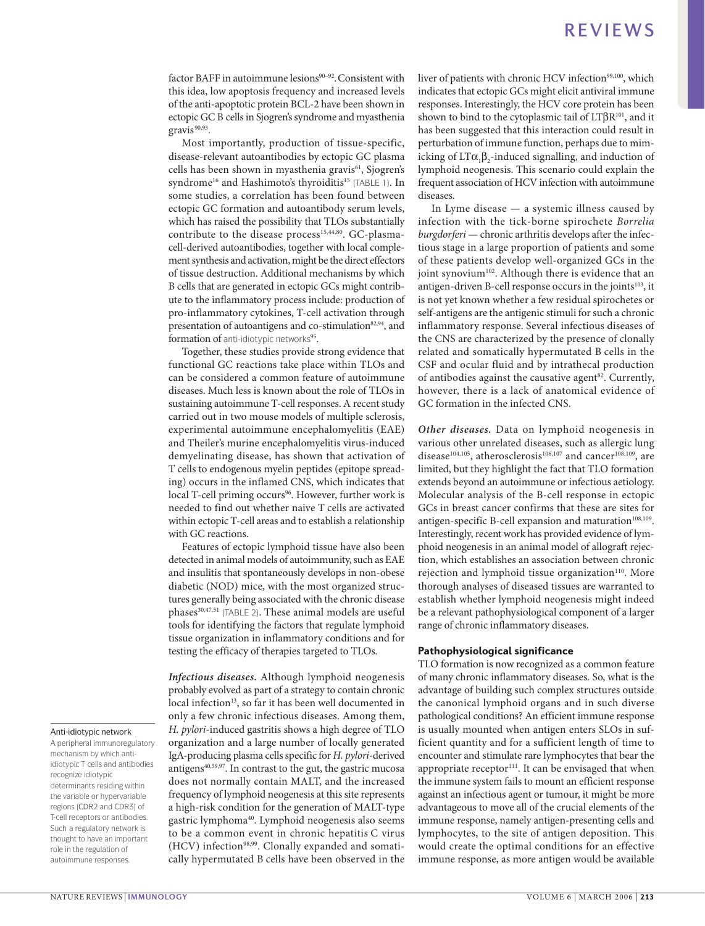factor BAFF in autoimmune lesions<sup>90-92</sup>. Consistent with this idea, low apoptosis frequency and increased levels of the anti-apoptotic protein BCL-2 have been shown in ectopic GC B cells in Sjogren's syndrome and myasthenia  $gravis<sup>90,93</sup>$ .

Most importantly, production of tissue-specific, disease-relevant autoantibodies by ectopic GC plasma cells has been shown in myasthenia gravis<sup>61</sup>, Sjogren's syndrome<sup>16</sup> and Hashimoto's thyroiditis<sup>15</sup> (TABLE 1). In some studies, a correlation has been found between ectopic GC formation and autoantibody serum levels, which has raised the possibility that TLOs substantially contribute to the disease process<sup>15,44,80</sup>. GC-plasmacell-derived autoantibodies, together with local complement synthesis and activation, might be the direct effectors of tissue destruction. Additional mechanisms by which B cells that are generated in ectopic GCs might contribute to the inflammatory process include: production of pro-inflammatory cytokines, T-cell activation through presentation of autoantigens and co-stimulation<sup>82,94</sup>, and formation of anti-idiotypic networks<sup>95</sup>.

Together, these studies provide strong evidence that functional GC reactions take place within TLOs and can be considered a common feature of autoimmune diseases. Much less is known about the role of TLOs in sustaining autoimmune T-cell responses. A recent study carried out in two mouse models of multiple sclerosis, experimental autoimmune encephalomyelitis (EAE) and Theiler's murine encephalomyelitis virus-induced demyelinating disease, has shown that activation of T cells to endogenous myelin peptides (epitope spreading) occurs in the inflamed CNS, which indicates that local T-cell priming occurs<sup>96</sup>. However, further work is needed to find out whether naive T cells are activated within ectopic T-cell areas and to establish a relationship with GC reactions.

Features of ectopic lymphoid tissue have also been detected in animal models of autoimmunity, such as EAE and insulitis that spontaneously develops in non-obese diabetic (NOD) mice, with the most organized structures generally being associated with the chronic disease phases<sup>30,47,51</sup> (TABLE 2). These animal models are useful tools for identifying the factors that regulate lymphoid tissue organization in inflammatory conditions and for testing the efficacy of therapies targeted to TLOs.

*Infectious diseases.* Although lymphoid neogenesis probably evolved as part of a strategy to contain chronic local infection<sup>13</sup>, so far it has been well documented in only a few chronic infectious diseases. Among them, *H. pylori*-induced gastritis shows a high degree of TLO organization and a large number of locally generated IgA-producing plasma cells specific for *H. pylori*-derived antigens $40,59,97$ . In contrast to the gut, the gastric mucosa does not normally contain MALT, and the increased frequency of lymphoid neogenesis at this site represents a high-risk condition for the generation of MALT-type gastric lymphoma40. Lymphoid neogenesis also seems to be a common event in chronic hepatitis C virus (HCV) infection<sup>98,99</sup>. Clonally expanded and somatically hypermutated B cells have been observed in the liver of patients with chronic HCV infection<sup>99,100</sup>, which indicates that ectopic GCs might elicit antiviral immune responses. Interestingly, the HCV core protein has been shown to bind to the cytoplasmic tail of LTβR<sup>101</sup>, and it has been suggested that this interaction could result in perturbation of immune function, perhaps due to mimicking of  $LT\alpha_1\beta_2$ -induced signalling, and induction of lymphoid neogenesis. This scenario could explain the frequent association of HCV infection with autoimmune diseases.

In Lyme disease — a systemic illness caused by infection with the tick-borne spirochete *Borrelia burgdorferi* — chronic arthritis develops after the infectious stage in a large proportion of patients and some of these patients develop well-organized GCs in the joint synovium<sup>102</sup>. Although there is evidence that an antigen-driven B-cell response occurs in the joints<sup>103</sup>, it is not yet known whether a few residual spirochetes or self-antigens are the antigenic stimuli for such a chronic inflammatory response. Several infectious diseases of the CNS are characterized by the presence of clonally related and somatically hypermutated B cells in the CSF and ocular fluid and by intrathecal production of antibodies against the causative agent<sup>82</sup>. Currently, however, there is a lack of anatomical evidence of GC formation in the infected CNS.

*Other diseases.* Data on lymphoid neogenesis in various other unrelated diseases, such as allergic lung disease<sup>104,105</sup>, atherosclerosis<sup>106,107</sup> and cancer<sup>108,109</sup>, are limited, but they highlight the fact that TLO formation extends beyond an autoimmune or infectious aetiology. Molecular analysis of the B-cell response in ectopic GCs in breast cancer confirms that these are sites for antigen-specific B-cell expansion and maturation<sup>108,109</sup>. Interestingly, recent work has provided evidence of lymphoid neogenesis in an animal model of allograft rejection, which establishes an association between chronic rejection and lymphoid tissue organization<sup>110</sup>. More thorough analyses of diseased tissues are warranted to establish whether lymphoid neogenesis might indeed be a relevant pathophysiological component of a larger range of chronic inflammatory diseases.

## Pathophysiological significance

TLO formation is now recognized as a common feature of many chronic inflammatory diseases. So, what is the advantage of building such complex structures outside the canonical lymphoid organs and in such diverse pathological conditions? An efficient immune response is usually mounted when antigen enters SLOs in sufficient quantity and for a sufficient length of time to encounter and stimulate rare lymphocytes that bear the appropriate receptor<sup>111</sup>. It can be envisaged that when the immune system fails to mount an efficient response against an infectious agent or tumour, it might be more advantageous to move all of the crucial elements of the immune response, namely antigen-presenting cells and lymphocytes, to the site of antigen deposition. This would create the optimal conditions for an effective immune response, as more antigen would be available

# Anti-idiotypic network

A peripheral immunoregulatory mechanism by which antiidiotypic T cells and antibodies recognize idiotypic determinants residing within the variable or hypervariable regions (CDR2 and CDR3) of T-cell receptors or antibodies. Such a regulatory network is thought to have an important role in the regulation of autoimmune responses.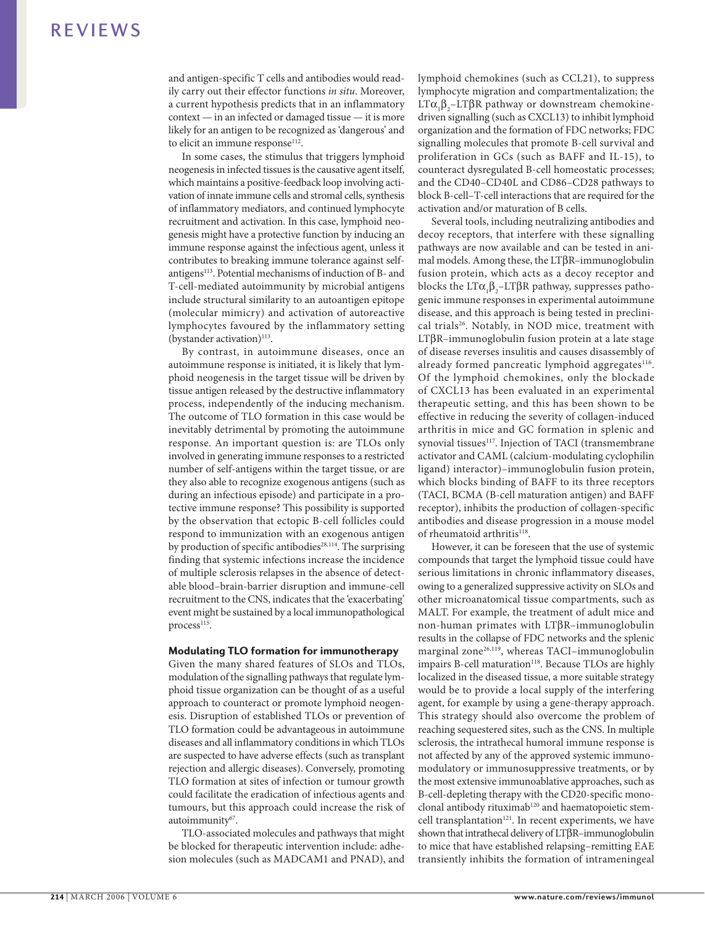and antigen-specific T cells and antibodies would readily carry out their effector functions *in situ*. Moreover, a current hypothesis predicts that in an inflammatory context — in an infected or damaged tissue — it is more likely for an antigen to be recognized as 'dangerous' and to elicit an immune response<sup>112</sup>.

In some cases, the stimulus that triggers lymphoid neogenesis in infected tissues is the causative agent itself, which maintains a positive-feedback loop involving activation of innate immune cells and stromal cells, synthesis of inflammatory mediators, and continued lymphocyte recruitment and activation. In this case, lymphoid neogenesis might have a protective function by inducing an immune response against the infectious agent, unless it contributes to breaking immune tolerance against selfantigens<sup>113</sup>. Potential mechanisms of induction of B- and T-cell-mediated autoimmunity by microbial antigens include structural similarity to an autoantigen epitope (molecular mimicry) and activation of autoreactive lymphocytes favoured by the inflammatory setting (bystander activation) $113$ .

By contrast, in autoimmune diseases, once an autoimmune response is initiated, it is likely that lymphoid neogenesis in the target tissue will be driven by tissue antigen released by the destructive inflammatory process, independently of the inducing mechanism. The outcome of TLO formation in this case would be inevitably detrimental by promoting the autoimmune response. An important question is: are TLOs only involved in generating immune responses to a restricted number of self-antigens within the target tissue, or are they also able to recognize exogenous antigens (such as during an infectious episode) and participate in a protective immune response? This possibility is supported by the observation that ectopic B-cell follicles could respond to immunization with an exogenous antigen by production of specific antibodies<sup>28,114</sup>. The surprising finding that systemic infections increase the incidence of multiple sclerosis relapses in the absence of detectable blood–brain-barrier disruption and immune-cell recruitment to the CNS, indicates that the 'exacerbating' event might be sustained by a local immunopathological process<sup>115</sup>.

### Modulating TLO formation for immunotherapy

Given the many shared features of SLOs and TLOs, modulation of the signalling pathways that regulate lymphoid tissue organization can be thought of as a useful approach to counteract or promote lymphoid neogenesis. Disruption of established TLOs or prevention of TLO formation could be advantageous in autoimmune diseases and all inflammatory conditions in which TLOs are suspected to have adverse effects (such as transplant rejection and allergic diseases). Conversely, promoting TLO formation at sites of infection or tumour growth could facilitate the eradication of infectious agents and tumours, but this approach could increase the risk of autoimmunity<sup>67</sup>.

TLO-associated molecules and pathways that might be blocked for therapeutic intervention include: adhesion molecules (such as MADCAM1 and PNAD), and lymphoid chemokines (such as CCL21), to suppress lymphocyte migration and compartmentalization; the LT $\alpha_1\beta_2$ -LTβR pathway or downstream chemokinedriven signalling (such as CXCL13) to inhibit lymphoid organization and the formation of FDC networks; FDC signalling molecules that promote B-cell survival and proliferation in GCs (such as BAFF and IL-15), to counteract dysregulated B-cell homeostatic processes; and the CD40–CD40L and CD86–CD28 pathways to block B-cell–T-cell interactions that are required for the activation and/or maturation of B cells.

Several tools, including neutralizing antibodies and decoy receptors, that interfere with these signalling pathways are now available and can be tested in animal models. Among these, the LTβR–immunoglobulin fusion protein, which acts as a decoy receptor and blocks the  $LT\alpha_1\beta_2$ – $LT\beta$ R pathway, suppresses pathogenic immune responses in experimental autoimmune disease, and this approach is being tested in preclinical trials<sup>26</sup>. Notably, in NOD mice, treatment with LTβR–immunoglobulin fusion protein at a late stage of disease reverses insulitis and causes disassembly of already formed pancreatic lymphoid aggregates<sup>116</sup>. Of the lymphoid chemokines, only the blockade of CXCL13 has been evaluated in an experimental therapeutic setting, and this has been shown to be effective in reducing the severity of collagen-induced arthritis in mice and GC formation in splenic and synovial tissues<sup>117</sup>. Injection of TACI (transmembrane activator and CAML (calcium-modulating cyclophilin ligand) interactor)–immunoglobulin fusion protein, which blocks binding of BAFF to its three receptors (TACI, BCMA (B-cell maturation antigen) and BAFF receptor), inhibits the production of collagen-specific antibodies and disease progression in a mouse model of rheumatoid arthritis<sup>118</sup>.

However, it can be foreseen that the use of systemic compounds that target the lymphoid tissue could have serious limitations in chronic inflammatory diseases, owing to a generalized suppressive activity on SLOs and other microanatomical tissue compartments, such as MALT. For example, the treatment of adult mice and non-human primates with LTβR–immunoglobulin results in the collapse of FDC networks and the splenic marginal zone26,119, whereas TACI–immunoglobulin impairs B-cell maturation<sup>118</sup>. Because TLOs are highly localized in the diseased tissue, a more suitable strategy would be to provide a local supply of the interfering agent, for example by using a gene-therapy approach. This strategy should also overcome the problem of reaching sequestered sites, such as the CNS. In multiple sclerosis, the intrathecal humoral immune response is not affected by any of the approved systemic immunomodulatory or immunosuppressive treatments, or by the most extensive immunoablative approaches, such as B-cell-depleting therapy with the CD20-specific monoclonal antibody rituximab<sup>120</sup> and haematopoietic stemcell transplantation<sup>121</sup>. In recent experiments, we have shown that intrathecal delivery of LTβR–immunoglobulin to mice that have established relapsing–remitting EAE transiently inhibits the formation of intrameningeal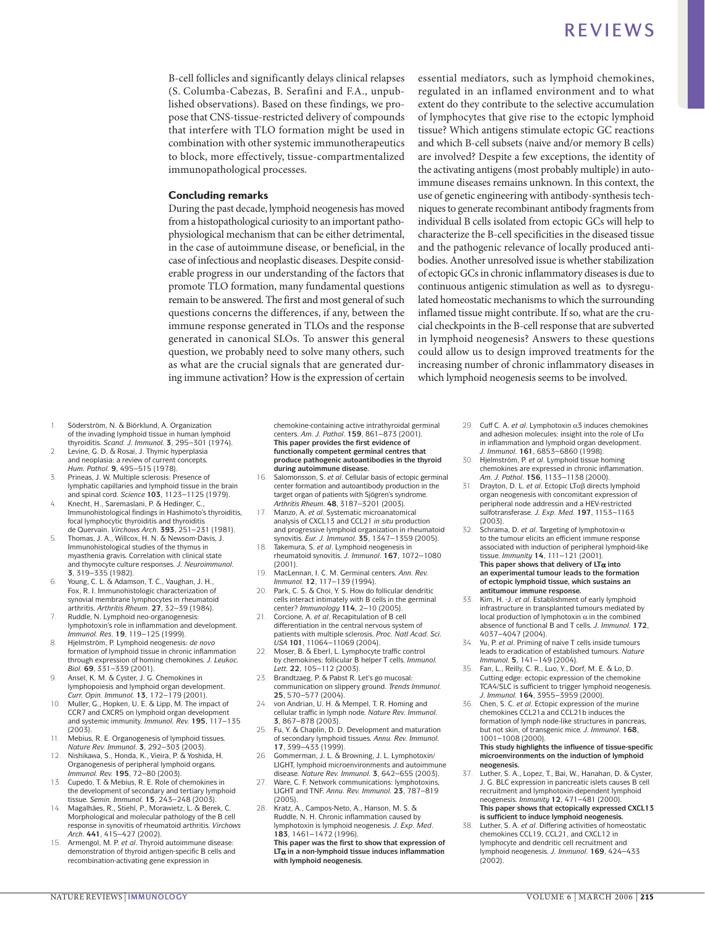B-cell follicles and significantly delays clinical relapses (S. Columba-Cabezas, B. Serafini and F.A., unpublished observations). Based on these findings, we propose that CNS-tissue-restricted delivery of compounds that interfere with TLO formation might be used in combination with other systemic immunotherapeutics to block, more effectively, tissue-compartmentalized immunopathological processes.

# Concluding remarks

During the past decade, lymphoid neogenesis has moved from a histopathological curiosity to an important pathophysiological mechanism that can be either detrimental, in the case of autoimmune disease, or beneficial, in the case of infectious and neoplastic diseases. Despite considerable progress in our understanding of the factors that promote TLO formation, many fundamental questions remain to be answered. The first and most general of such questions concerns the differences, if any, between the immune response generated in TLOs and the response generated in canonical SLOs. To answer this general question, we probably need to solve many others, such as what are the crucial signals that are generated during immune activation? How is the expression of certain essential mediators, such as lymphoid chemokines, regulated in an inflamed environment and to what extent do they contribute to the selective accumulation of lymphocytes that give rise to the ectopic lymphoid tissue? Which antigens stimulate ectopic GC reactions and which B-cell subsets (naive and/or memory B cells) are involved? Despite a few exceptions, the identity of the activating antigens (most probably multiple) in autoimmune diseases remains unknown. In this context, the use of genetic engineering with antibody-synthesis techniques to generate recombinant antibody fragments from individual B cells isolated from ectopic GCs will help to characterize the B-cell specificities in the diseased tissue and the pathogenic relevance of locally produced antibodies. Another unresolved issue is whether stabilization of ectopic GCs in chronic inflammatory diseases is due to continuous antigenic stimulation as well as to dysregulated homeostatic mechanisms to which the surrounding inflamed tissue might contribute. If so, what are the crucial checkpoints in the B-cell response that are subverted in lymphoid neogenesis? Answers to these questions could allow us to design improved treatments for the increasing number of chronic inflammatory diseases in which lymphoid neogenesis seems to be involved.

- 1. Söderström, N. & Biörklund, A. Organization of the invading lymphoid tissue in human lymphoid thyroiditis. *Scand. J. Immunol.* **3**, 295–301 (1974).
- 2. Levine, G. D. & Rosai, J. Thymic hyperplasia and neoplasia: a review of current concepts. *Hum. Pathol.* **9**, 495–515 (1978).
- 3. Prineas, J. W. Multiple sclerosis: Presence of lymphatic capillaries and lymphoid tissue in the brain and spinal cord. *Science* **103**, 1123–1125 (1979).
- 4. Knecht, H., Saremaslani, P. & Hedinger, C., Immunohistological findings in Hashimoto's thyroiditis, focal lymphocytic thyroiditis and thyroiditis de Quervain. *Virchows Arch*. **393**, 251–231 (1981).
- 5. Thomas, J. A., Willcox, H. N. & Newsom-Davis, J. Immunohistological studies of the thymus in myasthenia gravis. Correlation with clinical state and thymocyte culture responses. *J. Neuroimmunol.*  **3**, 319–335 (1982).
- 6. Young, C. L. & Adamson, T. C., Vaughan, J. H., Fox, R. I. Immunohistologic characterization of synovial membrane lymphocytes in rheumatoid arthritis. *Arthritis Rheum.* **27**, 32–39 (1984).
- 7. Ruddle, N. Lymphoid neo-organogenesis: lymphotoxin's role in inflammation and development. *Immunol. Res*. **19**, 119–125 (1999).
- 8. Hjelmström, P. Lymphoid neogenesis: *de novo* formation of lymphoid tissue in chronic inflammation through expression of homing chemokines. *J. Leukoc. Biol.* **69**, 331–339 (2001).
- 9. Ansel, K. M. & Cyster, J. G. Chemokines in lymphopoiesis and lymphoid organ development. *Curr. Opin. Immunol*. **13**, 172–179 (2001).
- 10. Muller, G., Hopken, U. E. & Lipp, M. The impact of CCR7 and CXCR5 on lymphoid organ development and systemic immunity. *Immunol. Rev.* **195**, 117–135 (2003).
- 11. Mebius, R. E. Organogenesis of lymphoid tissues. *Nature Rev. Immunol*. **3**, 292–303 (2003).
- 12. Nishikawa, S., Honda, K., Vieira, P. & Yoshida, H. Organogenesis of peripheral lymphoid organs. *Immunol. Rev.* **195**, 72–80 (2003).
- 13. Cupedo, T. & Mebius, R. E. Role of chemokines in the development of secondary and tertiary lymphoid tissue. *Semin. Immunol.* **15**, 243–248 (2003).
- 14. Magalhães, R., Stiehl, P., Morawietz, L. & Berek, C. Morphological and molecular pathology of the B cell response in synovitis of rheumatoid arthritis. *Virchows*
- *Arch*. **441**, 415–427 (2002). 15. Armengol, M. P. *et al*. Thyroid autoimmune disease: demonstration of thyroid antigen-specific B cells and recombination-activating gene expression in

chemokine-containing active intrathyroidal germinal centers. *Am. J. Pathol*. **159**, 861–873 (2001). **This paper provides the first evidence of functionally competent germinal centres that produce pathogenic autoantibodies in the thyroid during autoimmune disease.**

- 16. Salomonsson, S. *et al*. Cellular basis of ectopic germinal center formation and autoantibody production in the target organ of patients with Sjögren's syndrome. *Arthritis Rheum*. **48**, 3187–3201 (2003).
- 17. Manzo, A. *et al*. Systematic microanatomical analysis of CXCL13 and CCL21 *in situ* production and progressive lymphoid organization in rheumatoid synovitis. *Eur. J. Immunol.* **35**, 1347–1359 (2005).
- 18. Takemura, S. *et al*. Lymphoid neogenesis in rheumatoid synovitis. *J. Immunol*. **167**, 1072–1080 (2001).
- 19. MacLennan, I. C. M. Germinal centers. *Ann. Rev. Immunol.* **12**, 117–139 (1994).
- 20. Park, C. S. & Choi, Y. S. How do follicular dendritic cells interact intimately with B cells in the germinal center? *Immunology* **114**, 2–10 (2005).
- 21. Corcione, A. *et al*. Recapitulation of B cell differentiation in the central nervous system of patients with multiple sclerosis. *Proc. Natl Acad. Sci. USA* **101**, 11064–11069 (2004).
- 22. Moser, B. & Eberl, L. Lymphocyte traffic control by chemokines: follicular B helper T cells. *Immunol. Lett.* **22**, 105–112 (2003).
- 23. Brandtzaeg, P. & Pabst R. Let's go mucosal: communication on slippery ground. *Trends Immunol.* **25**, 570–577 (2004).
- 24. von Andrian, U. H. & Mempel, T. R. Homing and cellular traffic in lymph node. *Nature Rev. Immunol.*  **3**, 867–878 (2003).
- 25. Fu, Y. & Chaplin, D. D. Development and maturation of secondary lymphoid tissues. *Annu. Rev. Immunol*. **17**, 399–433 (1999).
- 26. Gommerman, J. L. & Browning, J. L. Lymphotoxin/ LIGHT, lymphoid microenvironments and autoimmune disease. *Nature Rev. Immunol.* **3**, 642–655 (2003).
- 27. Ware, C. F. Network communications: lymphotoxins, LIGHT and TNF. *Annu. Rev. Immunol.* **23**, 787–819 (2005).
- 28. Kratz, A., Campos-Neto, A., Hanson, M. S. & Ruddle, N. H. Chronic inflammation caused by lymphotoxin is lymphoid neogenesis. *J. Exp. Med*. **183**, 1461–1472 (1996).

**This paper was the first to show that expression of LT**α **in a non-lymphoid tissue induces inflammation with lymphoid neogenesis.**

- 29. Cuff C. A. *et al*. Lymphotoxin α3 induces chemokines and adhesion molecules: insight into the role of  $LT\alpha$ in inflammation and lymphoid organ development. *J. Immunol.* **161**, 6853–6860 (1998).
- 30. Hjelmström, P. *et al*. Lymphoid tissue homing chemokines are expressed in chronic inflammation. *Am. J. Pathol*. **156**, 1133–1138 (2000).
- 31. Drayton, D. L. *et al*. Ectopic LTαβ directs lymphoid organ neogenesis with concomitant expression of peripheral node addressin and a HEV-restricted sulfotransferase*. J. Exp. Med.* **197**, 1153–1163 (2003).
- 32. Schrama, D. *et al*. Targeting of lymphotoxin-α to the tumour elicits an efficient immune response associated with induction of peripheral lymphoid-like tissue. *Immunity* **14**, 111–121 (2001). **This paper shows that delivery of LT**α **into an experimental tumour leads to the formation of ectopic lymphoid tissue, which sustains an antitumour immune response.**
- 33. Kim, H. -J. *et al*. Establishment of early lymphoid infrastructure in transplanted tumours mediated by local production of lymphotoxin α in the combined absence of functional B and T cells. *J. Immunol.* **172**, 4037–4047 (2004).
- 34. Yu, P. *et al*. Priming of naive T cells inside tumours leads to eradication of established tumours. *Nature Immunol.* **5**, 141–149 (2004).
- 35. Fan, L., Reilly, C. R., Luo, Y., Dorf, M. E. & Lo, D. Cutting edge: ectopic expression of the chemokine TCA4/SLC is sufficient to trigger lymphoid neogenesis. *J. Immunol.* **164**, 3955–3959 (2000).
- 36. Chen, S. C. *et al*. Ectopic expression of the murine chemokines CCL21a and CCL21b induces the formation of lymph node-like structures in pancreas, but not skin, of transgenic mice. *J. Immunol*. **168**, 1001–1008 (2000).
	- **This study highlights the influence of tissue-specific microenvironments on the induction of lymphoid neogenesis.**
- 37. Luther, S. A., Lopez, T., Bai, W., Hanahan, D. & Cyster, J. G. BLC expression in pancreatic islets causes B cell recruitment and lymphotoxin-dependent lymphoid neogenesis. *Immunity* **12**, 471–481 (2000). **This paper shows that ectopically expressed CXCL13**
- **is sufficient to induce lymphoid neogenesis.** 38. Luther, S. A. *et al*. Differing activities of homeostatic chemokines CCL19, CCL21, and CXCL12 in lymphocyte and dendritic cell recruitment and lymphoid neogenesis. *J. Immunol*. **169**, 424–433  $(2002)$ .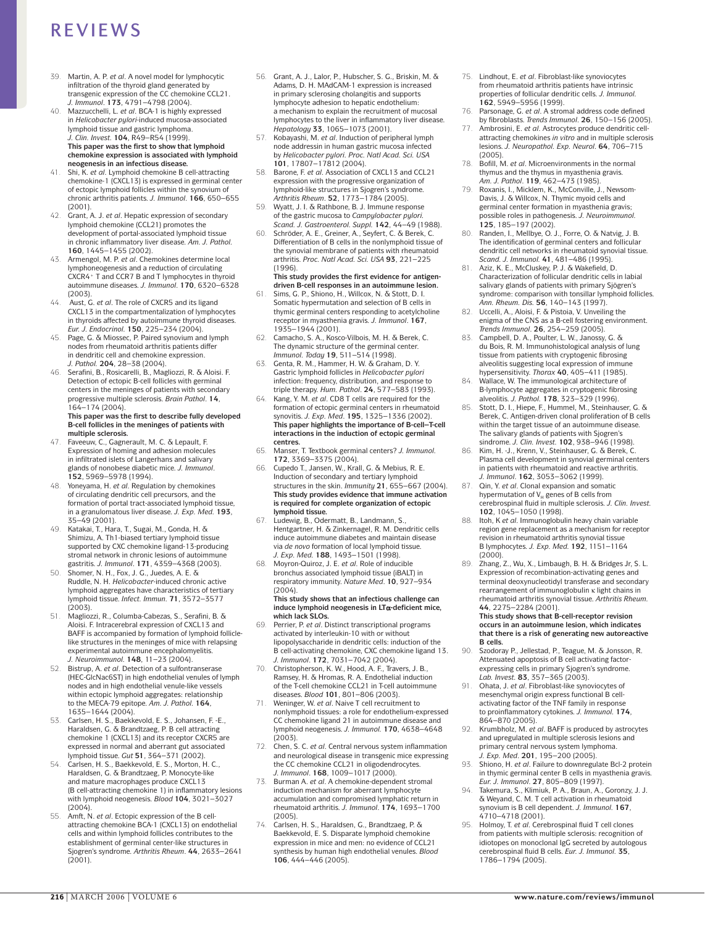- 39. Martin, A. P. *et al*. A novel model for lymphocytic infiltration of the thyroid gland generated by transgenic expression of the CC chemokine CCL21. *J. Immunol*. **173**, 4791–4798 (2004).
- 40. Mazzucchelli, L. *et al*. BCA-1 is highly expressed in *Helicobacter pylori*-induced mucosa-associated lymphoid tissue and gastric lymphoma. *J. Clin. Invest.* **104**, R49–R54 (1999). **This paper was the first to show that lymphoid chemokine expression is associated with lymphoid neogenesis in an infectious disease.**
- 41. Shi, K. *et al*. Lymphoid chemokine B cell-attracting chemokine-1 (CXCL13) is expressed in germinal center of ectopic lymphoid follicles within the synovium of chronic arthritis patients. *J. Immunol*. **166**, 650–655 (2001).
- 42. Grant, A. J. *et al*. Hepatic expression of secondary lymphoid chemokine (CCL21) promotes the development of portal-associated lymphoid tissue in chronic inflammatory liver disease. *Am. J. Pathol.*  **160**, 1445–1455 (2002).
- Armengol, M. P. *et al.* Chemokines determine local lymphoneogenesis and a reduction of circulating CXCR4+ T and CCR7 B and T lymphocytes in thyroid autoimmune diseases. *J. Immunol*. **170**, 6320–6328
- (2003). 44. Aust, G. *et al*. The role of CXCR5 and its ligand CXCL13 in the compartmentalization of lymphocytes in thyroids affected by autoimmune thyroid diseases. *Eur. J. Endocrinol.* **150**, 225–234 (2004).
- 45. Page, G. & Miossec, P. Paired synovium and lymph nodes from rheumatoid arthritis patients differ in dendritic cell and chemokine expression. *J. Pathol.* **204**, 28–38 (2004).
- 46. Serafini, B., Rosicarelli, B., Magliozzi, R. & Aloisi. F. Detection of ectopic B-cell follicles with germinal centers in the meninges of patients with secondary progressive multiple sclerosis. *Brain Pathol*. **14**, 164–174 (2004).

#### **This paper was the first to describe fully developed B-cell follicles in the meninges of patients with multiple sclerosis.**

- 47. Faveeuw, C., Gagnerault, M. C. & Lepault, F. Expression of homing and adhesion molecules in infiltrated islets of Langerhans and salivary glands of nonobese diabetic mice. *J. Immunol*. **152**, 5969–5978 (1994).
- 48. Yoneyama, H. *et al*. Regulation by chemokines of circulating dendritic cell precursors, and the formation of portal tract-associated lymphoid tissue, in a granulomatous liver disease. *J. Exp. Med.* **193**, 35–49 (2001).
- 49. Katakai, T., Hara, T., Sugai, M., Gonda, H. & Shimizu, A. Th1-biased tertiary lymphoid tissue supported by CXC chemokine ligand-13-producing stromal network in chronic lesions of autoimmune gastritis. *J. Immunol*. **171**, 4359–4368 (2003).
- 50. Shomer, N. H., Fox, J. G., Juedes, A. E. & Ruddle, N. H. *Helicobacter*-induced chronic active lymphoid aggregates have characteristics of tertiary lymphoid tissue. *Infect. Immun.* **71**, 3572–3577 (2003).
- 51. Magliozzi, R., Columba-Cabezas, S., Serafini, B. & Aloisi. F. Intracerebral expression of CXCL13 and BAFF is accompanied by formation of lymphoid folliclelike structures in the meninges of mice with relapsing experimental autoimmune encephalomyelitis. *J. Neuroimmunol.* **148**, 11–23 (2004).
- 52. Bistrup, A. *et al*. Detection of a sulfontranserase (HEC-GlcNac6ST) in high endothelial venules of lymph nodes and in high endothelial venule-like vessels within ectopic lymphoid aggregates: relationship to the MECA-79 epitope. *Am. J. Pathol.* **164**, 1635–1644 (2004).
- 53. Carlsen, H. S., Baekkevold, E. S., Johansen, F. -E., Haraldsen, G. & Brandtzaeg, P. B cell attracting chemokine 1 (CXCL13) and its receptor CXCR5 are expressed in normal and aberrant gut associated lymphoid tissue. *Gut* **51**, 364–371 (2002).
- Carlsen, H. S., Baekkevold, E. S., Morton, H. C., Haraldsen, G. & Brandtzaeg, P. Monocyte-like and mature macrophages produce CXCL13 (B cell-attracting chemokine 1) in inflammatory lesions with lymphoid neogenesis. *Blood* **104**, 3021–3027  $(2004)$
- 55. Amft, N. *et al*. Ectopic expression of the B cellattracting chemokine BCA-1 (CXCL13) on endothelial cells and within lymphoid follicles contributes to the establishment of germinal center-like structures in Sjogren's syndrome. *Arthritis Rheum*. **44**, 2633–2641  $(2001)$ .
- 56. Grant, A. J., Lalor, P., Hubscher, S. G., Briskin, M. & Adams, D. H. MAdCAM-1 expression is increased in primary sclerosing cholangitis and supports lymphocyte adhesion to hepatic endothelium: a mechanism to explain the recruitment of mucosal lymphocytes to the liver in inflammatory liver disease. *Hepatology* **33**, 1065–1073 (2001).
- 57. Kobayashi, M. *et al*. Induction of peripheral lymph node addressin in human gastric mucosa infected by *Helicobacter pylori. Proc. Natl Acad. Sci. USA* **101**, 17807–17812 (2004).
- 58. Barone, F. *et al*. Association of CXCL13 and CCL21 expression with the progressive organization of lymphoid-like structures in Sjogren's syndrome. *Arthritis Rheum*. **52**, 1773–1784 (2005).
- 59. Wyatt, J. I. & Rathbone, B. J. Immune response of the gastric mucosa to *Campylobacter pylori. Scand. J. Gastroenterol. Suppl.* **142**, 44–49 (1988).
- 60. Schröder, A. E., Greiner, A., Seyfert, C. & Berek, C. Differentiation of B cells in the nonlymphoid tissue of the synovial membrane of patients with rheumatoid arthritis. *Proc. Natl Acad. Sci. USA* **93**, 221–225 (1996).

**This study provides the first evidence for antigendriven B-cell responses in an autoimmune lesion.** 61. Sims, G. P. Shiono, H., Willcox, N. & Stott, D. I.

- Somatic hypermutation and selection of B cells in thymic germinal centers responding to acetylcholine receptor in myasthenia gravis. *J. Immunol*. **167**, 1935–1944 (2001).
- 62. Camacho, S. A., Kosco-Vilbois, M. H. & Berek, C. The dynamic structure of the germinal center. *Immunol. Today* **19**, 511–514 (1998).
- Genta, R. M., Hammer, H. W. & Graham, D. Y. Gastric lymphoid follicles in *Helicobacter pylori* infection: frequency, distribution, and response to triple therapy. *Hum. Pathol*. **24**, 577–583 (1993). 64. Kang, Y. M. *et al*. CD8 T cells are required for the
- formation of ectopic germinal centers in rheumatoid synovitis. *J. Exp. Med*. **195**, 1325–1336 (2002). **This paper highlights the importance of B-cell–T-cell interactions in the induction of ectopic germinal centres.**
- 65. Manser, T. Textbook germinal centers? *J. Immunol.*  **172**, 3369–3375 (2004).
- 66. Cupedo T., Jansen, W., Krall, G. & Mebius, R. E. Induction of secondary and tertiary lymphoid structures in the skin. *Immunity* **21**, 655–667 (2004). **This study provides evidence that immune activation is required for complete organization of ectopic lymphoid tissue.**
- 67. Ludewig, B., Odermatt, B., Landmann, S., Hentgartner, H. & Zinkernagel, R. M. Dendritic cells induce autoimmune diabetes and maintain disease via *de novo* formation of local lymphoid tissue. *J. Exp. Med.* **188**, 1493–1501 (1998).
- 68. Moyron-Quiroz, J. E. *et al*. Role of inducible bronchus associated lymphoid tissue (iBALT) in respiratory immunity. *Nature Med*. **10**, 927–934  $(2004)$ .

**This study shows that an infectious challenge can induce lymphoid neogenesis in LT**α**-deficient mice, which lack SLOs.**

- 69. Perrier, P. *et al*. Distinct transcriptional programs activated by interleukin-10 with or without lipopolysaccharide in dendritic cells: induction of the B cell-activating chemokine, CXC chemokine ligand 13. *J. Immunol*. **172**, 7031–7042 (2004).
- 70. Christopherson, K. W., Hood, A. F., Travers, J. B., Ramsey, H. & Hromas, R. A. Endothelial induction of the T-cell chemokine CCL21 in T-cell autoimmune diseases. *Blood* **101**, 801–806 (2003).
- Weninger, W. et al. Naive T cell recruitment to nonlymphoid tissues: a role for endothelium-expressed CC chemokine ligand 21 in autoimmune disease and lymphoid neogenesis. *J. Immunol.* **170**, 4638–4648  $(2003)$ .
- 72. Chen, S. C. *et al*. Central nervous system inflammation and neurological disease in transgenic mice expressing the CC chemokine CCL21 in oligodendrocytes. *J. Immunol*. **168**, 1009–1017 (2000).
- 73. Burman A. *et al*. A chemokine-dependent stromal induction mechanism for aberrant lymphocyte accumulation and compromised lymphatic return in rheumatoid arthritis. *J. Immunol*. **174**, 1693–1700 (2005).
- 74. Carlsen, H. S., Haraldsen, G., Brandtzaeg, P. & Baekkevold, E. S. Disparate lymphoid chemokine expression in mice and men: no evidence of CCL21 synthesis by human high endothelial venules. *Blood* **106**, 444–446 (2005).
- 75. Lindhout, E. *et al*. Fibroblast-like synoviocytes from rheumatoid arthritis patients have intrinsic properties of follicular dendritic cells. *J. Immunol.*  **162**, 5949–5956 (1999).
- 76. Parsonage, G. *et al*. A stromal address code defined by fibroblasts. *Trends Immunol*. **26**, 150–156 (2005).
- 77. Ambrosini, E. *et al*. Astrocytes produce dendritic cellattracting chemokines *in vitro* and in multiple sclerosis lesions. *J. Neuropathol. Exp. Neurol*. **64**, 706–715 (2005).
- 78. Bofill, M. *et al*. Microenvironments in the normal thymus and the thymus in myasthenia gravis. *Am. J. Pathol*. **119**, 462–473 (1985).
- 79. Roxanis, I., Micklem, K., McConville, J., Newsom-Davis, J. & Willcox, N. Thymic myoid cells and germinal center formation in myasthenia gravis; possible roles in pathogenesis. *J. Neuroimmunol.*  **125**, 185–197 (2002).
- 80. Randen, I., Mellbye, O. J., Forre, O. & Natvig, J. B. The identification of germinal centers and follicular dendritic cell networks in rheumatoid synovial tissue. *Scand. J. Immunol.* **41**, 481–486 (1995).
- Aziz, K. E., McCluskey, P. J. & Wakefield, D. Characterization of follicular dendritic cells in labial salivary glands of patients with primary Sjögren's syndrome: comparison with tonsillar lymphoid follicles. *Ann. Rheum. Dis.* **56**, 140–143 (1997).
- Uccelli, A., Aloisi, F. & Pistoia, V. Unveiling the enigma of the CNS as a B-cell fostering environment. *Trends Immunol*. **26**, 254–259 (2005).
- Campbell, D. A., Poulter, L. W., Janossy, G. & du Bois, R. M. Immunohistological analysis of lung tissue from patients with cryptogenic fibrosing alveolitis suggesting local expression of immune hypersensitivity. *Thorax* **40**, 405–411 (1985).
- 84. Wallace, W. The immunological architecture of B-lymphocyte aggregates in cryptogenic fibrosing alveolitis. *J. Pathol.* **178**, 323–329 (1996).
- 85. Stott, D. I., Hiepe, F., Hummel, M., Steinhauser, G. & Berek, C. Antigen-driven clonal proliferation of B cells within the target tissue of an autoimmune disease. The salivary glands of patients with Sjogren's sindrome. *J. Clin. Invest.* **102**, 938–946 (1998).
- 86. Kim, H. -J., Krenn, V., Steinhauser, G. & Berek, C. Plasma cell development in synovial germinal centers in patients with rheumatoid and reactive arthritis. *J. Immunol*. **162**, 3053–3062 (1999).
- 87. Oin, Y. *et al.* Clonal expansion and somatic hypermutation of V<sub>H</sub> genes of B cells from cerebrospinal fluid in multiple sclerosis. *J. Clin. Invest.* **102**, 1045–1050 (1998).
- 88. Itoh, K *et al*. Immunoglobulin heavy chain variable region gene replacement as a mechanism for receptor revision in rheumatoid arthritis synovial tissue B lymphocytes. *J. Exp. Med.* **192**, 1151–1164 (2000).
- 89. Zhang, Z., Wu, X., Limbaugh, B. H. & Bridges Jr, S. L. Expression of recombination-activating genes and terminal deoxynucleotidyl transferase and secondary rearrangement of immunoglobulin κ light chains in rheumatoid arthritis synovial tissue. *Arthritis Rheum.*  **44**, 2275–2284 (2001).

**This study shows that B-cell-receptor revision occurs in an autoimmune lesion, which indicates that there is a risk of generating new autoreactive B cells.**

- 90. Szodoray P., Jellestad, P., Teague, M. & Jonsson, R. Attenuated apoptosis of B cell activating factorexpressing cells in primary Sjogren's syndrome*. Lab. Invest.* **83**, 357–365 (2003).
- 91. Ohata, J. *et al*. Fibroblast-like synoviocytes of mesenchymal origin express functional B cellactivating factor of the TNF family in respons to proinflammatory cytokines. *J. Immunol.* **174**, 864–870 (2005).
- 92. Krumbholz, M. *et al*. BAFF is produced by astrocytes and upregulated in multiple sclerosis lesions and primary central nervous system lymphoma. *J. Exp. Med*. **201**, 195–200 (2005).
- 93. Shiono, H. *et al*. Failure to downregulate Bcl-2 protein in thymic germinal center B cells in myasthenia gravis. *Eur. J. Immunol*. **27**, 805–809 (1997).
- 94. Takemura, S., Klimiuk, P. A., Braun, A., Goronzy, J. J. & Weyand, C. M. T cell activation in rheumatoid synovium is B cell dependent. *J. Immunol.* **167**, 4710–4718 (2001).
- 95. Holmoy, T. *et al*. Cerebrospinal fluid T cell clones from patients with multiple sclerosis: recognition of idiotopes on monoclonal IgG secreted by autologous cerebrospinal fluid B cells. *Eur. J. Immunol.* **35**, 1786–1794 (2005).